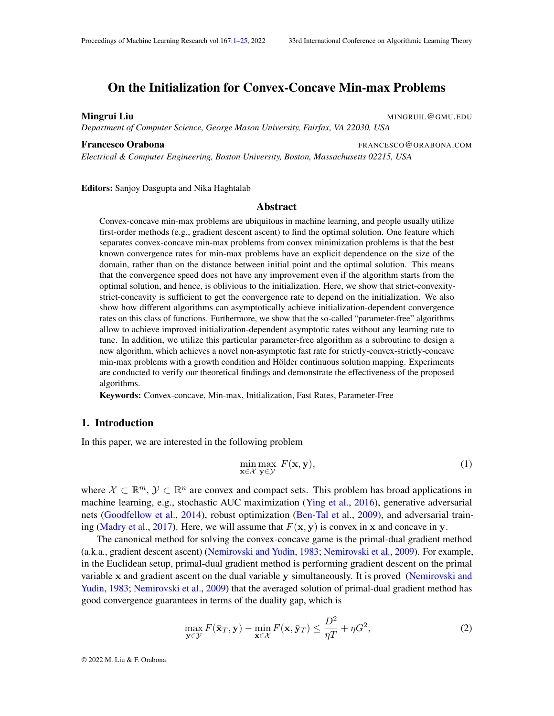# <span id="page-0-0"></span>On the Initialization for Convex-Concave Min-max Problems

#### **Mingrui Liu** MINGRUIL@GMU.EDU

*Department of Computer Science, George Mason University, Fairfax, VA 22030, USA*

*Electrical & Computer Engineering, Boston University, Boston, Massachusetts 02215, USA*

Editors: Sanjoy Dasgupta and Nika Haghtalab

#### Abstract

Convex-concave min-max problems are ubiquitous in machine learning, and people usually utilize first-order methods (e.g., gradient descent ascent) to find the optimal solution. One feature which separates convex-concave min-max problems from convex minimization problems is that the best known convergence rates for min-max problems have an explicit dependence on the size of the domain, rather than on the distance between initial point and the optimal solution. This means that the convergence speed does not have any improvement even if the algorithm starts from the optimal solution, and hence, is oblivious to the initialization. Here, we show that strict-convexitystrict-concavity is sufficient to get the convergence rate to depend on the initialization. We also show how different algorithms can asymptotically achieve initialization-dependent convergence rates on this class of functions. Furthermore, we show that the so-called "parameter-free" algorithms allow to achieve improved initialization-dependent asymptotic rates without any learning rate to tune. In addition, we utilize this particular parameter-free algorithm as a subroutine to design a new algorithm, which achieves a novel non-asymptotic fast rate for strictly-convex-strictly-concave min-max problems with a growth condition and Hölder continuous solution mapping. Experiments are conducted to verify our theoretical findings and demonstrate the effectiveness of the proposed algorithms.

Keywords: Convex-concave, Min-max, Initialization, Fast Rates, Parameter-Free

# 1. Introduction

In this paper, we are interested in the following problem

<span id="page-0-2"></span>
$$
\min_{\mathbf{x}\in\mathcal{X}}\max_{\mathbf{y}\in\mathcal{Y}}\ F(\mathbf{x},\mathbf{y}),\tag{1}
$$

where  $\mathcal{X} \subset \mathbb{R}^m$ ,  $\mathcal{Y} \subset \mathbb{R}^n$  are convex and compact sets. This problem has broad applications in machine learning, e.g., stochastic AUC maximization [\(Ying et al.,](#page-15-0) [2016\)](#page-15-0), generative adversarial nets [\(Goodfellow et al.,](#page-13-0) [2014\)](#page-13-0), robust optimization [\(Ben-Tal et al.,](#page-12-0) [2009\)](#page-12-0), and adversarial train-ing [\(Madry et al.,](#page-14-0) [2017\)](#page-14-0). Here, we will assume that  $F(\mathbf{x}, \mathbf{y})$  is convex in x and concave in y.

The canonical method for solving the convex-concave game is the primal-dual gradient method (a.k.a., gradient descent ascent) [\(Nemirovski and Yudin,](#page-15-1) [1983;](#page-15-1) [Nemirovski et al.,](#page-15-2) [2009\)](#page-15-2). For example, in the Euclidean setup, primal-dual gradient method is performing gradient descent on the primal variable x and gradient ascent on the dual variable y simultaneously. It is proved [\(Nemirovski and](#page-15-1) [Yudin,](#page-15-1) [1983;](#page-15-1) [Nemirovski et al.,](#page-15-2) [2009\)](#page-15-2) that the averaged solution of primal-dual gradient method has good convergence guarantees in terms of the duality gap, which is

<span id="page-0-1"></span>
$$
\max_{\mathbf{y}\in\mathcal{Y}} F(\bar{\mathbf{x}}_T, \mathbf{y}) - \min_{\mathbf{x}\in\mathcal{X}} F(\mathbf{x}, \bar{\mathbf{y}}_T) \le \frac{D^2}{\eta T} + \eta G^2,\tag{2}
$$

© 2022 M. Liu & F. Orabona.

Francesco Orabona **FRANCESCO**@ORABONA.COM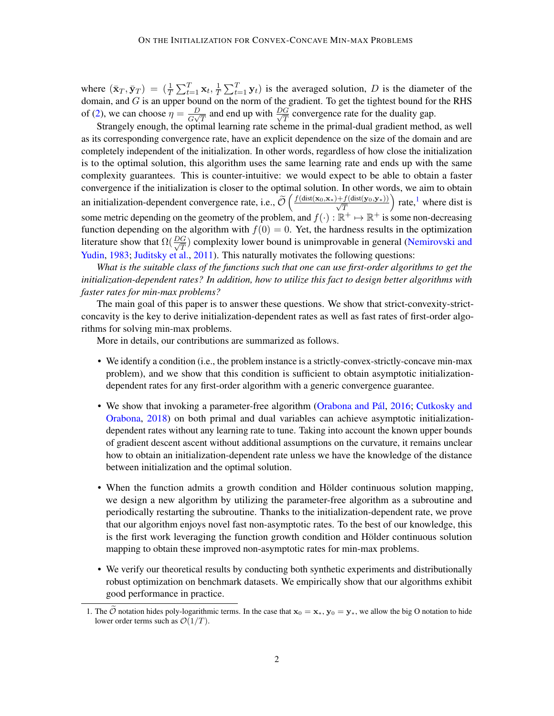where  $(\bar{\mathbf{x}}_T, \bar{\mathbf{y}}_T) = \left(\frac{1}{T} \sum_{t=1}^T \mathbf{x}_t, \frac{1}{T}\right)$  $\frac{1}{T} \sum_{t=1}^{T} y_t$  is the averaged solution, D is the diameter of the domain, and  $G$  is an upper bound on the norm of the gradient. To get the tightest bound for the RHS of [\(2\)](#page-0-1), we can choose  $\eta = \frac{D}{C}$  $\frac{D}{G\sqrt{T}}$  and end up with  $\frac{DG}{\sqrt{T}}$  convergence rate for the duality gap.

Strangely enough, the optimal learning rate scheme in the primal-dual gradient method, as well as its corresponding convergence rate, have an explicit dependence on the size of the domain and are completely independent of the initialization. In other words, regardless of how close the initialization is to the optimal solution, this algorithm uses the same learning rate and ends up with the same complexity guarantees. This is counter-intuitive: we would expect to be able to obtain a faster convergence if the initialization is closer to the optimal solution. In other words, we aim to obtain an initialization-dependent convergence rate, i.e.,  $\widetilde{\mathcal{O}}\left(\frac{f(\text{dist}(\mathbf{x}_0,\mathbf{x}_*)+f(\text{dist}(\mathbf{y}_0,\mathbf{y}_*))}{\sqrt{T}}\right)$ ) rate, $\frac{1}{x}$  $\frac{1}{x}$  $\frac{1}{x}$  where dist is some metric depending on the geometry of the problem, and  $f(\cdot): \mathbb{R}^+ \mapsto \mathbb{R}^+$  is some non-decreasing function depending on the algorithm with  $f(0) = 0$ . Yet, the hardness results in the optimization literature show that  $\Omega(\frac{DG}{\sqrt{T}})$  complexity lower bound is unimprovable in general [\(Nemirovski and](#page-15-1) [Yudin,](#page-15-1) [1983;](#page-15-1) [Juditsky et al.,](#page-14-1) [2011\)](#page-14-1). This naturally motivates the following questions:

*What is the suitable class of the functions such that one can use first-order algorithms to get the initialization-dependent rates? In addition, how to utilize this fact to design better algorithms with faster rates for min-max problems?*

The main goal of this paper is to answer these questions. We show that strict-convexity-strictconcavity is the key to derive initialization-dependent rates as well as fast rates of first-order algorithms for solving min-max problems.

More in details, our contributions are summarized as follows.

- We identify a condition (i.e., the problem instance is a strictly-convex-strictly-concave min-max problem), and we show that this condition is sufficient to obtain asymptotic initializationdependent rates for any first-order algorithm with a generic convergence guarantee.
- We show that invoking a parameter-free algorithm [\(Orabona and Pál,](#page-15-3) [2016;](#page-15-3) [Cutkosky and](#page-12-1) [Orabona,](#page-12-1) [2018\)](#page-12-1) on both primal and dual variables can achieve asymptotic initializationdependent rates without any learning rate to tune. Taking into account the known upper bounds of gradient descent ascent without additional assumptions on the curvature, it remains unclear how to obtain an initialization-dependent rate unless we have the knowledge of the distance between initialization and the optimal solution.
- When the function admits a growth condition and Hölder continuous solution mapping, we design a new algorithm by utilizing the parameter-free algorithm as a subroutine and periodically restarting the subroutine. Thanks to the initialization-dependent rate, we prove that our algorithm enjoys novel fast non-asymptotic rates. To the best of our knowledge, this is the first work leveraging the function growth condition and Hölder continuous solution mapping to obtain these improved non-asymptotic rates for min-max problems.
- We verify our theoretical results by conducting both synthetic experiments and distributionally robust optimization on benchmark datasets. We empirically show that our algorithms exhibit good performance in practice.

<span id="page-1-0"></span><sup>1.</sup> The  $\hat{\mathcal{O}}$  notation hides poly-logarithmic terms. In the case that  $\mathbf{x}_0 = \mathbf{x}_*, \mathbf{y}_0 = \mathbf{y}_*,$  we allow the big O notation to hide lower order terms such as  $\mathcal{O}(1/T)$ .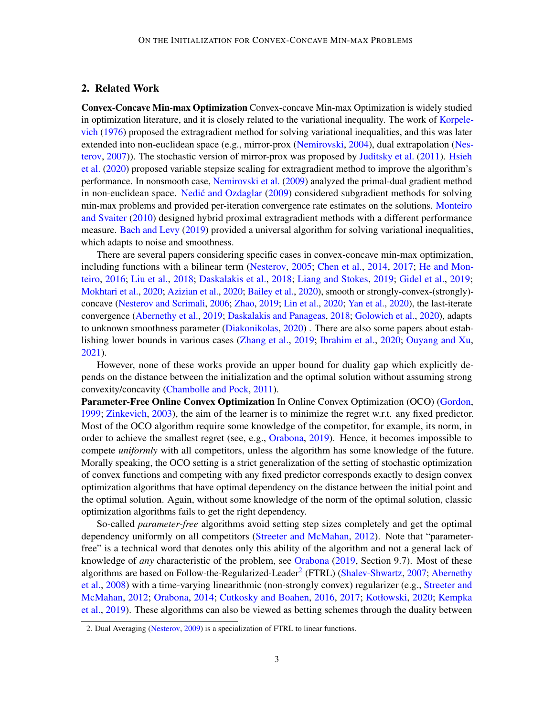# 2. Related Work

Convex-Concave Min-max Optimization Convex-concave Min-max Optimization is widely studied in optimization literature, and it is closely related to the variational inequality. The work of [Korpele](#page-14-2)[vich](#page-14-2) [\(1976\)](#page-14-2) proposed the extragradient method for solving variational inequalities, and this was later extended into non-euclidean space (e.g., mirror-prox [\(Nemirovski,](#page-14-3) [2004\)](#page-14-3), dual extrapolation [\(Nes](#page-15-4)[terov,](#page-15-4) [2007\)](#page-15-4)). The stochastic version of mirror-prox was proposed by [Juditsky et al.](#page-14-1) [\(2011\)](#page-14-1). [Hsieh](#page-13-1) [et al.](#page-13-1) [\(2020\)](#page-13-1) proposed variable stepsize scaling for extragradient method to improve the algorithm's performance. In nonsmooth case, [Nemirovski et al.](#page-15-2) [\(2009\)](#page-15-2) analyzed the primal-dual gradient method in non-euclidean space. [Nedic and Ozdaglar](#page-14-4) [\(2009\)](#page-14-4) considered subgradient methods for solving min-max problems and provided per-iteration convergence rate estimates on the solutions. [Monteiro](#page-14-5) [and Svaiter](#page-14-5) [\(2010\)](#page-14-5) designed hybrid proximal extragradient methods with a different performance measure. [Bach and Levy](#page-12-2) [\(2019\)](#page-12-2) provided a universal algorithm for solving variational inequalities, which adapts to noise and smoothness.

There are several papers considering specific cases in convex-concave min-max optimization, including functions with a bilinear term [\(Nesterov,](#page-15-5) [2005;](#page-15-5) [Chen et al.,](#page-12-3) [2014,](#page-12-3) [2017;](#page-12-4) [He and Mon](#page-13-2)[teiro,](#page-13-2) [2016;](#page-13-2) [Liu et al.,](#page-14-6) [2018;](#page-14-6) [Daskalakis et al.,](#page-13-3) [2018;](#page-13-3) [Liang and Stokes,](#page-14-7) [2019;](#page-14-7) [Gidel et al.,](#page-13-4) [2019;](#page-13-4) [Mokhtari et al.,](#page-14-8) [2020;](#page-14-8) [Azizian et al.,](#page-12-5) [2020;](#page-12-5) [Bailey et al.,](#page-12-6) [2020\)](#page-12-6), smooth or strongly-convex-(strongly) concave [\(Nesterov and Scrimali,](#page-15-6) [2006;](#page-15-6) [Zhao,](#page-16-0) [2019;](#page-16-0) [Lin et al.,](#page-14-9) [2020;](#page-14-9) [Yan et al.,](#page-15-7) [2020\)](#page-15-7), the last-iterate convergence [\(Abernethy et al.,](#page-12-7) [2019;](#page-12-7) [Daskalakis and Panageas,](#page-13-5) [2018;](#page-13-5) [Golowich et al.,](#page-13-6) [2020\)](#page-13-6), adapts to unknown smoothness parameter [\(Diakonikolas,](#page-13-7) [2020\)](#page-13-7). There are also some papers about establishing lower bounds in various cases [\(Zhang et al.,](#page-16-1) [2019;](#page-16-1) [Ibrahim et al.,](#page-13-8) [2020;](#page-13-8) [Ouyang and Xu,](#page-15-8) [2021\)](#page-15-8).

However, none of these works provide an upper bound for duality gap which explicitly depends on the distance between the initialization and the optimal solution without assuming strong convexity/concavity [\(Chambolle and Pock,](#page-12-8) [2011\)](#page-12-8).

Parameter-Free Online Convex Optimization In Online Convex Optimization (OCO) [\(Gordon,](#page-13-9) [1999;](#page-13-9) [Zinkevich,](#page-16-2) [2003\)](#page-16-2), the aim of the learner is to minimize the regret w.r.t. any fixed predictor. Most of the OCO algorithm require some knowledge of the competitor, for example, its norm, in order to achieve the smallest regret (see, e.g., [Orabona,](#page-15-9) [2019\)](#page-15-9). Hence, it becomes impossible to compete *uniformly* with all competitors, unless the algorithm has some knowledge of the future. Morally speaking, the OCO setting is a strict generalization of the setting of stochastic optimization of convex functions and competing with any fixed predictor corresponds exactly to design convex optimization algorithms that have optimal dependency on the distance between the initial point and the optimal solution. Again, without some knowledge of the norm of the optimal solution, classic optimization algorithms fails to get the right dependency.

So-called *parameter-free* algorithms avoid setting step sizes completely and get the optimal dependency uniformly on all competitors [\(Streeter and McMahan,](#page-15-10) [2012\)](#page-15-10). Note that "parameterfree" is a technical word that denotes only this ability of the algorithm and not a general lack of knowledge of *any* characteristic of the problem, see [Orabona](#page-15-9) [\(2019,](#page-15-9) Section 9.7). Most of these algorithms are based on Follow-the-Regularized-Leader<sup>[2](#page-2-0)</sup> (FTRL) [\(Shalev-Shwartz,](#page-15-11) [2007;](#page-15-11) [Abernethy](#page-12-9) [et al.,](#page-12-9) [2008\)](#page-12-9) with a time-varying linearithmic (non-strongly convex) regularizer (e.g., [Streeter and](#page-15-10) [McMahan,](#page-15-10) [2012;](#page-15-10) [Orabona,](#page-15-12) [2014;](#page-15-12) [Cutkosky and Boahen,](#page-12-10) [2016,](#page-12-10) [2017;](#page-12-11) [Kotłowski,](#page-14-10) [2020;](#page-14-10) [Kempka](#page-14-11) [et al.,](#page-14-11) [2019\)](#page-14-11). These algorithms can also be viewed as betting schemes through the duality between

<span id="page-2-0"></span><sup>2.</sup> Dual Averaging [\(Nesterov,](#page-15-13) [2009\)](#page-15-13) is a specialization of FTRL to linear functions.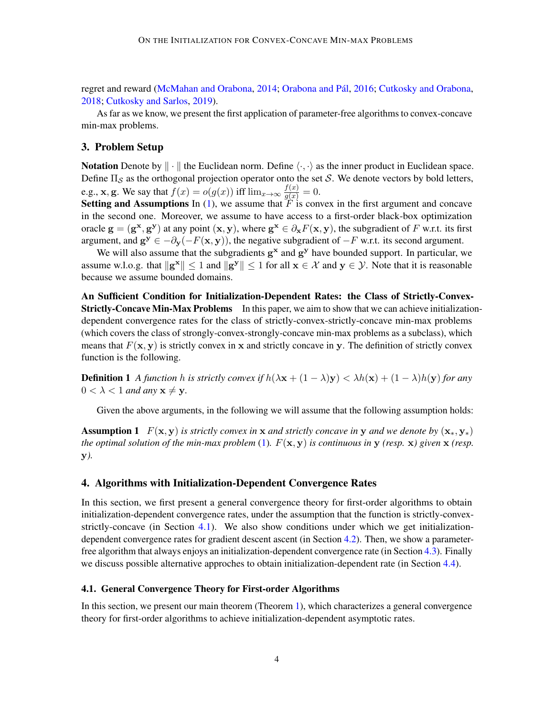regret and reward [\(McMahan and Orabona,](#page-14-12) [2014;](#page-14-12) [Orabona and Pál,](#page-15-3) [2016;](#page-15-3) [Cutkosky and Orabona,](#page-12-1) [2018;](#page-12-1) [Cutkosky and Sarlos,](#page-13-10) [2019\)](#page-13-10).

As far as we know, we present the first application of parameter-free algorithms to convex-concave min-max problems.

## 3. Problem Setup

Notation Denote by  $\|\cdot\|$  the Euclidean norm. Define  $\langle \cdot, \cdot \rangle$  as the inner product in Euclidean space. Define  $\Pi_{\mathcal{S}}$  as the orthogonal projection operator onto the set S. We denote vectors by bold letters, e.g., **x**, **g**. We say that  $f(x) = o(g(x))$  iff  $\lim_{x \to \infty} \frac{f(x)}{g(x)} = 0$ .

Setting and Assumptions In [\(1\)](#page-0-2), we assume that  $\tilde{F}$  is convex in the first argument and concave in the second one. Moreover, we assume to have access to a first-order black-box optimization oracle  $g = (g^x, g^y)$  at any point  $(x, y)$ , where  $g^x \in \partial_x F(x, y)$ , the subgradient of F w.r.t. its first argument, and  $g^y \in -\partial_y(-F(x, y))$ , the negative subgradient of  $-F$  w.r.t. its second argument.

We will also assume that the subgradients  $g^x$  and  $g^y$  have bounded support. In particular, we assume w.l.o.g. that  $\|\mathbf{g}^{\mathbf{x}}\| \leq 1$  and  $\|\mathbf{g}^{\mathbf{y}}\| \leq 1$  for all  $\mathbf{x} \in \mathcal{X}$  and  $\mathbf{y} \in \mathcal{Y}$ . Note that it is reasonable because we assume bounded domains.

An Sufficient Condition for Initialization-Dependent Rates: the Class of Strictly-Convex-**Strictly-Concave Min-Max Problems** In this paper, we aim to show that we can achieve initializationdependent convergence rates for the class of strictly-convex-strictly-concave min-max problems (which covers the class of strongly-convex-strongly-concave min-max problems as a subclass), which means that  $F(\mathbf{x}, \mathbf{y})$  is strictly convex in x and strictly concave in y. The definition of strictly convex function is the following.

**Definition 1** *A function h is strictly convex if*  $h(\lambda x + (1 - \lambda)y) < \lambda h(x) + (1 - \lambda)h(y)$  *for any*  $0 < \lambda < 1$  *and any*  $x \neq y$ .

<span id="page-3-2"></span>Given the above arguments, in the following we will assume that the following assumption holds:

**Assumption 1**  $F(\mathbf{x}, \mathbf{y})$  *is strictly convex in* x *and strictly concave in* y *and we denote by*  $(\mathbf{x}_*, \mathbf{y}_*)$ *the optimal solution of the min-max problem* [\(1\)](#page-0-2).  $F(\mathbf{x}, \mathbf{y})$  *is continuous in* **y** *(resp.*  $\mathbf{x}$ *) given*  $\mathbf{x}$  *(resp.* y*).*

# <span id="page-3-3"></span>4. Algorithms with Initialization-Dependent Convergence Rates

In this section, we first present a general convergence theory for first-order algorithms to obtain initialization-dependent convergence rates, under the assumption that the function is strictly-convex-strictly-concave (in Section [4.1\)](#page-3-0). We also show conditions under which we get initializationdependent convergence rates for gradient descent ascent (in Section [4.2\)](#page-5-0). Then, we show a parameterfree algorithm that always enjoys an initialization-dependent convergence rate (in Section [4.3\)](#page-6-0). Finally we discuss possible alternative approches to obtain initialization-dependent rate (in Section [4.4\)](#page-8-0).

#### <span id="page-3-0"></span>4.1. General Convergence Theory for First-order Algorithms

<span id="page-3-1"></span>In this section, we present our main theorem (Theorem [1\)](#page-3-1), which characterizes a general convergence theory for first-order algorithms to achieve initialization-dependent asymptotic rates.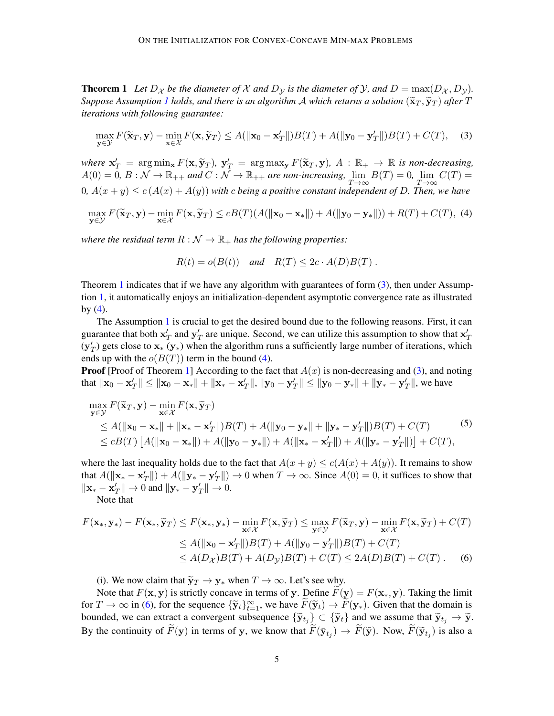**Theorem 1** Let  $D_{\chi}$  be the diameter of  $\chi$  and  $D_{\chi}$  is the diameter of  $\chi$ , and  $D = \max(D_{\chi}, D_{\chi})$ . *Suppose Assumption [1](#page-3-2) holds, and there is an algorithm A which returns a solution*  $(\widetilde{\mathbf{x}}_T, \widetilde{\mathbf{y}}_T)$  after T *iterations with following guarantee:*

<span id="page-4-0"></span>
$$
\max_{\mathbf{y}\in\mathcal{Y}} F(\widetilde{\mathbf{x}}_T, \mathbf{y}) - \min_{\mathbf{x}\in\mathcal{X}} F(\mathbf{x}, \widetilde{\mathbf{y}}_T) \le A(\|\mathbf{x}_0 - \mathbf{x}_T'\|)B(T) + A(\|\mathbf{y}_0 - \mathbf{y}_T'\|)B(T) + C(T), \quad (3)
$$

*where*  $\mathbf{x}'_T = \arg \min_{\mathbf{x}} F(\mathbf{x}, \tilde{\mathbf{y}}_T)$ ,  $\mathbf{y}'_T = \arg \max_{\mathbf{x}} F(\tilde{\mathbf{x}}_T, \mathbf{y})$ ,  $A : \mathbb{R}_+ \to \mathbb{R}$  *is non-decreasing*,  $A(0) = 0$ ,  $B : M \to \mathbb{R}$  and  $C : M \to \mathbb{R}$  are non-inemaging,  $\lim_{\epsilon \to 0} B(T) = 0$ ,  $\lim_{\epsilon \to$  $A(0) = 0, B: \mathcal{N} \to \mathbb{R}_{++}$  and  $C: \tilde{\mathcal{N}} \to \mathbb{R}_{++}$  are non-increasing,  $\lim_{T \to \infty} B(T) = 0$ ,  $\lim_{T \to \infty} C(T) = 0$  $(0, A(x + y) \le c(A(x) + A(y))$  with c being a positive constant independent of D. Then, we have

<span id="page-4-1"></span>
$$
\max_{\mathbf{y}\in\mathcal{Y}} F(\widetilde{\mathbf{x}}_T,\mathbf{y}) - \min_{\mathbf{x}\in\mathcal{X}} F(\mathbf{x},\widetilde{\mathbf{y}}_T) \le cB(T)(A(\|\mathbf{x}_0-\mathbf{x}_*\|) + A(\|\mathbf{y}_0-\mathbf{y}_*\|)) + R(T) + C(T), \tag{4}
$$

*where the residual term*  $R : \mathcal{N} \to \mathbb{R}_+$  *has the following properties:* 

$$
R(t) = o(B(t)) \quad \text{and} \quad R(T) \le 2c \cdot A(D)B(T) \; .
$$

Theorem [1](#page-3-1) indicates that if we have any algorithm with guarantees of form  $(3)$ , then under Assumption [1,](#page-3-2) it automatically enjoys an initialization-dependent asymptotic convergence rate as illustrated by  $(4)$ .

The Assumption [1](#page-3-2) is crucial to get the desired bound due to the following reasons. First, it can guarantee that both  $x'_T$  and  $y'_T$  are unique. Second, we can utilize this assumption to show that  $x'_T$  $(y'_T)$  gets close to  $x_* (y_*)$  when the algorithm runs a sufficiently large number of iterations, which ends up with the  $o(B(T))$  term in the bound [\(4\)](#page-4-1).

**Proof** [Proof of Theorem [1\]](#page-3-1) According to the fact that  $A(x)$  is non-decreasing and [\(3\)](#page-4-0), and noting that  $||x_0 - x'_T|| \le ||x_0 - x_*|| + ||x_* - x'_T||$ ,  $||y_0 - y'_T|| \le ||y_0 - y_*|| + ||y_* - y'_T||$ , we have

$$
\max_{\mathbf{y}\in\mathcal{Y}} F(\widetilde{\mathbf{x}}_T, \mathbf{y}) - \min_{\mathbf{x}\in\mathcal{X}} F(\mathbf{x}, \widetilde{\mathbf{y}}_T)
$$
\n
$$
\leq A(||\mathbf{x}_0 - \mathbf{x}_*|| + ||\mathbf{x}_* - \mathbf{x}'_T||)B(T) + A(||\mathbf{y}_0 - \mathbf{y}_*|| + ||\mathbf{y}_* - \mathbf{y}'_T||)B(T) + C(T) \tag{5}
$$
\n
$$
\leq cB(T) \left[ A(||\mathbf{x}_0 - \mathbf{x}_*||) + A(||\mathbf{y}_0 - \mathbf{y}_*||) + A(||\mathbf{x}_* - \mathbf{x}'_T||) + A(||\mathbf{y}_* - \mathbf{y}'_T||) \right] + C(T),
$$

where the last inequality holds due to the fact that  $A(x + y) \le c(A(x) + A(y))$ . It remains to show that  $A(||\mathbf{x}_* - \mathbf{x}_T'||) + A(||\mathbf{y}_* - \mathbf{y}_T'||) \rightarrow 0$  when  $T \rightarrow \infty$ . Since  $A(0) = 0$ , it suffices to show that  $\|\mathbf{x}_{*} - \mathbf{x}_{T}^{\prime}\| \rightarrow 0$  and  $\|\mathbf{y}_{*} - \mathbf{y}_{T}^{\prime}\| \rightarrow 0$ .

Note that

$$
F(\mathbf{x}_{*}, \mathbf{y}_{*}) - F(\mathbf{x}_{*}, \widetilde{\mathbf{y}}_{T}) \leq F(\mathbf{x}_{*}, \mathbf{y}_{*}) - \min_{\mathbf{x} \in \mathcal{X}} F(\mathbf{x}, \widetilde{\mathbf{y}}_{T}) \leq \max_{\mathbf{y} \in \mathcal{Y}} F(\widetilde{\mathbf{x}}_{T}, \mathbf{y}) - \min_{\mathbf{x} \in \mathcal{X}} F(\mathbf{x}, \widetilde{\mathbf{y}}_{T}) + C(T)
$$
  
\n
$$
\leq A(\|\mathbf{x}_{0} - \mathbf{x}'_{T}\|)B(T) + A(\|\mathbf{y}_{0} - \mathbf{y}'_{T}\|)B(T) + C(T)
$$
  
\n
$$
\leq A(D_{\mathcal{X}})B(T) + A(D_{\mathcal{Y}})B(T) + C(T) \leq 2A(D)B(T) + C(T).
$$
 (6)

<span id="page-4-2"></span>(i). We now claim that  $\tilde{\mathbf{y}}_T \to \mathbf{y}_*$  when  $T \to \infty$ . Let's see why.

Note that  $F(\mathbf{x}, \mathbf{y})$  is strictly concave in terms of y. Define  $F(\mathbf{y}) = F(\mathbf{x}_*, \mathbf{y})$ . Taking the limit for  $T \to \infty$  in [\(6\)](#page-4-2), for the sequence  $\{\widetilde{\mathbf{y}}_t\}_{t=1}^{\infty}$ , we have  $\widetilde{F}(\widetilde{\mathbf{y}}_t) \to \widetilde{F}(\mathbf{y}_*)$ . Given that the domain is bounded, we can extract a convergent subsequence  $\{\widetilde{\mathbf{y}}_{t_j}\} \subset \{\widetilde{\mathbf{y}}_t\}$  and we assume that  $\widetilde{\mathbf{y}}_{t_j} \to \widetilde{\mathbf{y}}$ . By the continuity of  $F(y)$  in terms of y, we know that  $F(\bar{y}_{t_j}) \to F(\tilde{y})$ . Now,  $F(\tilde{y}_{t_j})$  is also a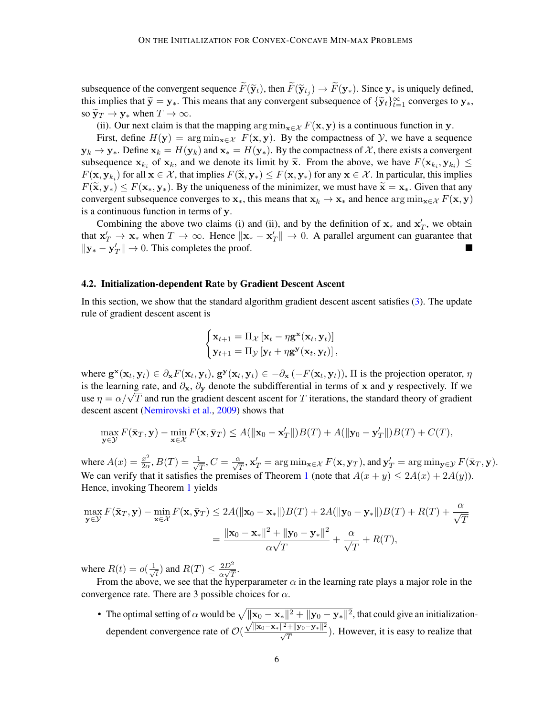subsequence of the convergent sequence  $F(\tilde{\mathbf{y}}_t)$ , then  $F(\tilde{\mathbf{y}}_{tj}) \to F(\mathbf{y}_*)$ . Since  $\mathbf{y}_*$  is uniquely defined, this implies that  $\tilde{\mathbf{x}} = \mathbf{y}_t$ . This means that any convergent subsequence of  $\{\tilde{\mathbf{x}}_$ this implies that  $\widetilde{\mathbf{y}} = \mathbf{y}_*$ . This means that any convergent subsequence of  $\{\widetilde{\mathbf{y}}_t\}_{t=1}^\infty$  converges to  $\mathbf{y}_*$ , so  $\widetilde{\mathbf{y}}_T \to \mathbf{y}_*$  when  $T \to \infty$ .

(ii). Our next claim is that the mapping  $\arg \min_{\mathbf{x} \in \mathcal{X}} F(\mathbf{x}, \mathbf{y})$  is a continuous function in y.

First, define  $H(y) = \arg \min_{x \in \mathcal{X}} F(x, y)$ . By the compactness of  $\mathcal{Y}$ , we have a sequence  $y_k \to y_*$ . Define  $x_k = H(y_k)$  and  $x_* = H(y_*)$ . By the compactness of X, there exists a convergent subsequence  $\mathbf{x}_{k_i}$  of  $\mathbf{x}_k$ , and we denote its limit by  $\widetilde{\mathbf{x}}$ . From the above, we have  $F(\mathbf{x}_{k_i}, \mathbf{y}_{k_i}) \leq F(\mathbf{x}, \mathbf{y}_{k_i})$  for any  $\mathbf{x} \in \mathcal{X}$ . In particular, this implies  $F(\mathbf{x}, \mathbf{y}_{k_i})$  for all  $\mathbf{x} \in \mathcal{X}$ , that implies  $F(\widetilde{\mathbf{x}}, \mathbf{y}_*) \leq F(\mathbf{x}, \mathbf{y}_*)$  for any  $\mathbf{x} \in \mathcal{X}$ . In particular, this implies  $F(\widetilde{\mathbf{x}}, \mathbf{y}_*) \leq F(\mathbf{x}, \mathbf{y}_*)$ . By the uniqueness of the minimizer, we  $F(\tilde{\mathbf{x}}, \mathbf{y}_*) \leq F(\mathbf{x}_*, \mathbf{y}_*)$ . By the uniqueness of the minimizer, we must have  $\tilde{\mathbf{x}} = \mathbf{x}_*$ . Given that any convergent subsequence converges to  $x_{*}$ , this means that  $x_{k} \to x_{*}$  and hence  $\arg \min_{x \in \mathcal{X}} F(x, y)$ is a continuous function in terms of y.

Combining the above two claims (i) and (ii), and by the definition of  $x_*$  and  $x'_T$ , we obtain that  $x'_T \to x_*$  when  $T \to \infty$ . Hence  $\|x_* - x'_T\| \to 0$ . A parallel argument can guarantee that  $\|\mathbf{y}_{*} - \mathbf{y}_{T}^{\prime}\| \to 0$ . This completes the proof.

#### <span id="page-5-0"></span>4.2. Initialization-dependent Rate by Gradient Descent Ascent

In this section, we show that the standard algorithm gradient descent ascent satisfies [\(3\)](#page-4-0). The update rule of gradient descent ascent is

$$
\begin{cases} \mathbf{x}_{t+1} = \Pi_{\mathcal{X}} \left[ \mathbf{x}_t - \eta \mathbf{g}^{\mathbf{x}}(\mathbf{x}_t, \mathbf{y}_t) \right] \\ \mathbf{y}_{t+1} = \Pi_{\mathcal{Y}} \left[ \mathbf{y}_t + \eta \mathbf{g}^{\mathbf{y}}(\mathbf{x}_t, \mathbf{y}_t) \right], \end{cases}
$$

where  $\mathbf{g}^{\mathbf{x}}(\mathbf{x}_t, \mathbf{y}_t) \in \partial_{\mathbf{x}} F(\mathbf{x}_t, \mathbf{y}_t), \mathbf{g}^{\mathbf{y}}(\mathbf{x}_t, \mathbf{y}_t) \in -\partial_{\mathbf{x}} (-F(\mathbf{x}_t, \mathbf{y}_t)), \Pi$  is the projection operator,  $\eta$ is the learning rate, and  $\partial_x$ ,  $\partial_y$  denote the subdifferential in terms of x and y respectively. If we is the learning rate, and  $\partial_x$ ,  $\partial_y$  denote the subdifferential in terms of x and y respectively. If we use  $\eta = \alpha/\sqrt{T}$  and run the gradient descent ascent for T iterations, the standard theory of gradient descent ascent [\(Nemirovski et al.,](#page-15-2) [2009\)](#page-15-2) shows that

$$
\max_{\mathbf{y}\in\mathcal{Y}} F(\bar{\mathbf{x}}_T, \mathbf{y}) - \min_{\mathbf{x}\in\mathcal{X}} F(\mathbf{x}, \bar{\mathbf{y}}_T) \le A(\|\mathbf{x}_0 - \mathbf{x}_T'\|)B(T) + A(\|\mathbf{y}_0 - \mathbf{y}_T'\|)B(T) + C(T),
$$

where  $A(x) = \frac{x^2}{20}$  $\frac{x^2}{2\alpha}$ ,  $B(T)=\frac{1}{\sqrt{2}}$  $\frac{1}{T}, C = \frac{\alpha}{\sqrt{T}}, \mathbf{x}_T' = \arg\min_{\mathbf{x}\in\mathcal{X}} F(\mathbf{x}, \mathbf{y}_T)$ , and  $\mathbf{y}_T' = \arg\min_{\mathbf{y}\in\mathcal{Y}} F(\bar{\mathbf{x}}_T, \mathbf{y})$ . We can verify that it satisfies the premises of Theorem [1](#page-3-1) (note that  $A(x + y) \le 2A(x) + 2A(y)$ ). Hence, invoking Theorem [1](#page-3-1) yields

$$
\max_{\mathbf{y}\in\mathcal{Y}} F(\bar{\mathbf{x}}_T, \mathbf{y}) - \min_{\mathbf{x}\in\mathcal{X}} F(\mathbf{x}, \bar{\mathbf{y}}_T) \le 2A(\|\mathbf{x}_0 - \mathbf{x}_*\|)B(T) + 2A(\|\mathbf{y}_0 - \mathbf{y}_*\|)B(T) + R(T) + \frac{\alpha}{\sqrt{T}}
$$

$$
= \frac{\|\mathbf{x}_0 - \mathbf{x}_*\|^2 + \|\mathbf{y}_0 - \mathbf{y}_*\|^2}{\alpha\sqrt{T}} + \frac{\alpha}{\sqrt{T}} + R(T),
$$

where  $R(t) = o(\frac{1}{\sqrt{2}})$  $\frac{1}{t}$ ) and  $R(T) \leq \frac{2D^2}{\alpha \sqrt{T}}$  $\frac{2D^2}{\alpha\sqrt{T}}$ .

From the above, we see that the hyperparameter  $\alpha$  in the learning rate plays a major role in the convergence rate. There are 3 possible choices for  $\alpha$ .

• The optimal setting of  $\alpha$  would be  $\sqrt{\|\mathbf{x}_0 - \mathbf{x}_*\|^2 + \|\mathbf{y}_0 - \mathbf{y}_*\|^2}$ , that could give an initializationdependent convergence rate of  $\mathcal{O}(\mathcal{O})$  $\frac{\sqrt{\|x_0 - x_*\|^2 + \|y_0 - y_*\|^2}}{\sqrt{T}}$ . However, it is easy to realize that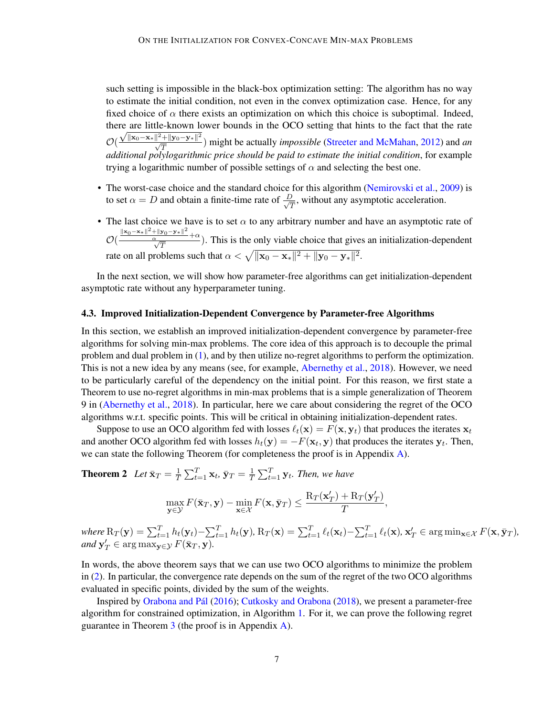such setting is impossible in the black-box optimization setting: The algorithm has no way to estimate the initial condition, not even in the convex optimization case. Hence, for any fixed choice of  $\alpha$  there exists an optimization on which this choice is suboptimal. Indeed, there are little-known lower bounds in the OCO setting that hints to the fact that the rate  $\mathcal{O}(\frac{\sqrt{\|\mathbf{x}_0 - \mathbf{x}_*\|^2 + \|\mathbf{y}_0 - \mathbf{y}_*\|^2}}{\sqrt{T}})$  might be actually *impossible* [\(Streeter and McMahan,](#page-15-10) [2012\)](#page-15-10) and *an additional polylogarithmic price should be paid to estimate the initial condition*, for example trying a logarithmic number of possible settings of  $\alpha$  and selecting the best one.

- The worst-case choice and the standard choice for this algorithm [\(Nemirovski et al.,](#page-15-2) [2009\)](#page-15-2) is to set  $\alpha = D$  and obtain a finite-time rate of  $\frac{D}{\sqrt{d}}$  $\frac{\partial}{\partial \overline{T}}$ , without any asymptotic acceleration.
- The last choice we have is to set  $\alpha$  to any arbitrary number and have an asymptotic rate of  $\mathcal{O}(\frac{\|\mathbf{x}_0 - \mathbf{x}_*\|^2 + \|\mathbf{y}_0 - \mathbf{y}_*\|^2}{\sqrt{T}})$ . This is the only viable choice that gives an initialization-dependent rate on all problems such that  $\alpha < \sqrt{\|\mathbf{x}_0 - \mathbf{x}_*\|^2 + \|\mathbf{y}_0 - \mathbf{y}_*\|^2}.$

In the next section, we will show how parameter-free algorithms can get initialization-dependent asymptotic rate without any hyperparameter tuning.

## <span id="page-6-0"></span>4.3. Improved Initialization-Dependent Convergence by Parameter-free Algorithms

In this section, we establish an improved initialization-dependent convergence by parameter-free algorithms for solving min-max problems. The core idea of this approach is to decouple the primal problem and dual problem in [\(1\)](#page-0-2), and by then utilize no-regret algorithms to perform the optimization. This is not a new idea by any means (see, for example, [Abernethy et al.,](#page-12-12) [2018\)](#page-12-12). However, we need to be particularly careful of the dependency on the initial point. For this reason, we first state a Theorem to use no-regret algorithms in min-max problems that is a simple generalization of Theorem 9 in [\(Abernethy et al.,](#page-12-12) [2018\)](#page-12-12). In particular, here we care about considering the regret of the OCO algorithms w.r.t. specific points. This will be critical in obtaining initialization-dependent rates.

Suppose to use an OCO algorithm fed with losses  $\ell_t(\mathbf{x}) = F(\mathbf{x}, \mathbf{y}_t)$  that produces the iterates  $\mathbf{x}_t$ and another OCO algorithm fed with losses  $h_t(\mathbf{y}) = -F(\mathbf{x}_t, \mathbf{y})$  that produces the iterates  $\mathbf{y}_t$ . Then, we can state the following Theorem (for completeness the proof is in Appendix [A\)](#page-17-0).

**Theorem 2** Let  $\bar{\mathbf{x}}_T = \frac{1}{7}$  $\frac{1}{T}\sum_{t=1}^T \mathbf{x}_t, \, \bar{\mathbf{y}}_T = \frac{1}{T}$  $\frac{1}{T} \sum_{t=1}^{T} \mathbf{y}_t$ *. Then, we have* 

<span id="page-6-2"></span><span id="page-6-1"></span>
$$
\max_{\mathbf{y}\in\mathcal{Y}} F(\bar{\mathbf{x}}_T, \mathbf{y}) - \min_{\mathbf{x}\in\mathcal{X}} F(\mathbf{x}, \bar{\mathbf{y}}_T) \le \frac{\mathrm{R}_T(\mathbf{x}_T') + \mathrm{R}_T(\mathbf{y}_T')}{T},
$$

 $\mathit{where} \ R_T(\mathbf{y}) = \sum_{t=1}^T h_t(\mathbf{y}_t) - \sum_{t=1}^T h_t(\mathbf{y}), \ R_T(\mathbf{x}) = \sum_{t=1}^T \ell_t(\mathbf{x}_t) - \sum_{t=1}^T \ell_t(\mathbf{x}), \ \mathbf{x}_T' \in \arg\min_{\mathbf{x} \in \mathcal{X}} F(\mathbf{x}, \bar{\mathbf{y}}_T),$  $and \mathbf{y}'_T \in \arg\max_{\mathbf{y} \in \mathcal{Y}} F(\bar{\mathbf{x}}_T, \mathbf{y}).$ 

In words, the above theorem says that we can use two OCO algorithms to minimize the problem in [\(2\)](#page-0-1). In particular, the convergence rate depends on the sum of the regret of the two OCO algorithms evaluated in specific points, divided by the sum of the weights.

Inspired by [Orabona and Pál](#page-15-3) [\(2016\)](#page-15-3); [Cutkosky and Orabona](#page-12-1) [\(2018\)](#page-12-1), we present a parameter-free algorithm for constrained optimization, in Algorithm [1.](#page-7-0) For it, we can prove the following regret guarantee in Theorem  $\frac{3}{1}$  $\frac{3}{1}$  $\frac{3}{1}$  (the proof is in Appendix [A\)](#page-17-0).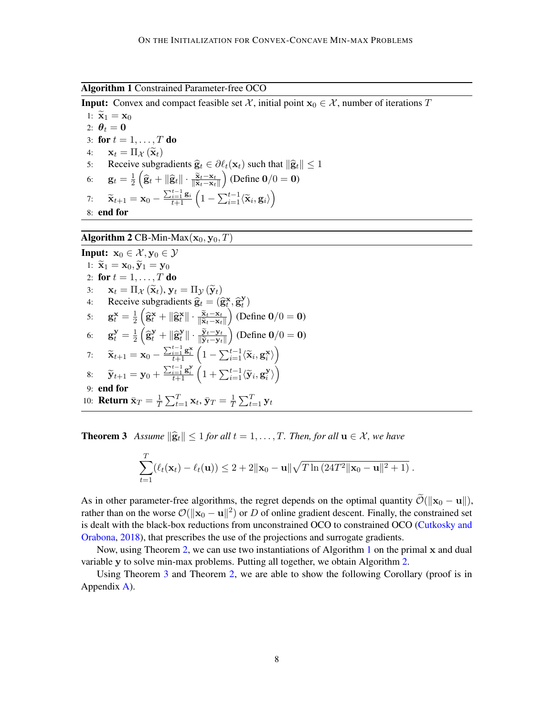<span id="page-7-0"></span>Algorithm 1 Constrained Parameter-free OCO

**Input:** Convex and compact feasible set  $\mathcal{X}$ , initial point  $\mathbf{x}_0 \in \mathcal{X}$ , number of iterations T

1:  $\widetilde{\mathbf{x}}_1 = \mathbf{x}_0$ 2:  $\theta_t = 0$ 3: for  $t = 1, \ldots, T$  do 4:  $\mathbf{x}_t = \Pi_{\mathcal{X}}(\tilde{\mathbf{x}}_t)$ <br>5: Receive subgr 5: Receive subgradients  $\hat{\mathbf{g}}_t \in \partial \ell_t(\mathbf{x}_t)$  such that  $\|\hat{\mathbf{g}}_t\| \leq 1$ <br>6:  $\mathbf{g}_t = \frac{1}{2} \left( \hat{\mathbf{g}}_t + \|\hat{\mathbf{g}}_t\| \cdot \frac{\tilde{\mathbf{x}}_t - \mathbf{x}_t}{\|\tilde{\mathbf{x}}_t - \mathbf{x}_t\|} \right)$  (Define  $\mathbf{0}/0 = \mathbf{0}$ ) 6:  $\mathbf{g}_t = \frac{1}{2}$  $\frac{1}{2}\left(\widehat{\mathbf{g}}_t + \|\widehat{\mathbf{g}}_t\| \cdot \frac{\widetilde{\mathbf{x}}_t - \mathbf{x}_t}{\|\widetilde{\mathbf{x}}_t - \mathbf{x}_t\|}\right)$ (Define  $0/0 = 0$ ) 7:  $\widetilde{\mathbf{x}}_{t+1} = \mathbf{x}_0 - \frac{\sum_{i=1}^{t-1} \mathbf{g}_i}{t+1} \left( 1 - \sum_{i=1}^{t-1} \langle \widetilde{\mathbf{x}}_i, \mathbf{g}_i \rangle \right)$ 8: end for

# <span id="page-7-1"></span>Algorithm 2 CB-Min-Max $(\mathbf{x}_0, \mathbf{y}_0, T)$

Input: 
$$
\mathbf{x}_0 \in \mathcal{X}, \mathbf{y}_0 \in \mathcal{Y}
$$
  
\n1:  $\tilde{\mathbf{x}}_1 = \mathbf{x}_0, \tilde{\mathbf{y}}_1 = \mathbf{y}_0$   
\n2: **for**  $t = 1, ..., T$  **do**  
\n3:  $\mathbf{x}_t = \Pi_{\mathcal{X}} (\tilde{\mathbf{x}}_t), \mathbf{y}_t = \Pi_{\mathcal{Y}} (\tilde{\mathbf{y}}_t)$   
\n4: Receive subgradients  $\hat{\mathbf{g}}_t = (\hat{\mathbf{g}}_t^{\mathbf{x}}, \hat{\mathbf{g}}_t^{\mathbf{y}})$   
\n5:  $\mathbf{g}_t^{\mathbf{x}} = \frac{1}{2} (\hat{\mathbf{g}}_t^{\mathbf{x}} + ||\hat{\mathbf{g}}_t^{\mathbf{x}}|| \cdot \frac{\tilde{\mathbf{x}}_t - \mathbf{x}_t}{||\tilde{\mathbf{x}}_t - \mathbf{x}_t||})$  (Define  $0/0 = 0$ )  
\n6:  $\mathbf{g}_t^{\mathbf{y}} = \frac{1}{2} (\hat{\mathbf{g}}_t^{\mathbf{y}} + ||\hat{\mathbf{g}}_t^{\mathbf{y}}|| \cdot \frac{\tilde{\mathbf{y}}_t - \mathbf{y}_t}{||\tilde{\mathbf{y}}_t - \mathbf{y}_t||})$  (Define  $0/0 = 0$ )  
\n7:  $\tilde{\mathbf{x}}_{t+1} = \mathbf{x}_0 - \frac{\sum_{i=1}^{t-1} \mathbf{g}_i^{\mathbf{x}}}{t+1} (1 - \sum_{i=1}^{t-1} \langle \tilde{\mathbf{x}}_i, \mathbf{g}_i^{\mathbf{x}} \rangle)$   
\n8:  $\tilde{\mathbf{y}}_{t+1} = \mathbf{y}_0 + \frac{\sum_{i=1}^{t-1} \mathbf{g}_i^{\mathbf{x}}}{t+1} (1 + \sum_{i=1}^{t-1} \langle \tilde{\mathbf{y}}_i, \mathbf{g}_i^{\mathbf{y}} \rangle)$   
\n9: **end for**  
\n10: **Return**  $\bar{\mathbf{x}}_T = \frac{1}{T} \sum_{t=1}^T \mathbf{x$ 

**Theorem 3** Assume  $\|\hat{\mathbf{g}}_t\| \leq 1$  *for all*  $t = 1, \ldots, T$ *. Then, for all*  $\mathbf{u} \in \mathcal{X}$ *, we have* 

$$
\sum_{t=1}^T (\ell_t(\mathbf{x}_t) - \ell_t(\mathbf{u})) \le 2 + 2\|\mathbf{x}_0 - \mathbf{u}\| \sqrt{T \ln(24T^2 \|\mathbf{x}_0 - \mathbf{u}\|^2 + 1)}.
$$

As in other parameter-free algorithms, the regret depends on the optimal quantity  $\widetilde{\mathcal{O}}(||\mathbf{x}_0 - \mathbf{u}||)$ , rather than on the worse  $\mathcal{O}(\|\mathbf{x}_0 - \mathbf{u}\|^2)$  or D of online gradient descent. Finally, the constrained set is dealt with the black-box reductions from unconstrained OCO to constrained OCO [\(Cutkosky and](#page-12-1) [Orabona,](#page-12-1) [2018\)](#page-12-1), that prescribes the use of the projections and surrogate gradients.

Now, using Theorem [2,](#page-6-2) we can use two instantiations of Algorithm [1](#page-7-0) on the primal x and dual variable y to solve min-max problems. Putting all together, we obtain Algorithm [2.](#page-7-1)

<span id="page-7-2"></span>Using Theorem [3](#page-6-1) and Theorem [2,](#page-6-2) we are able to show the following Corollary (proof is in Appendix [A\)](#page-17-0).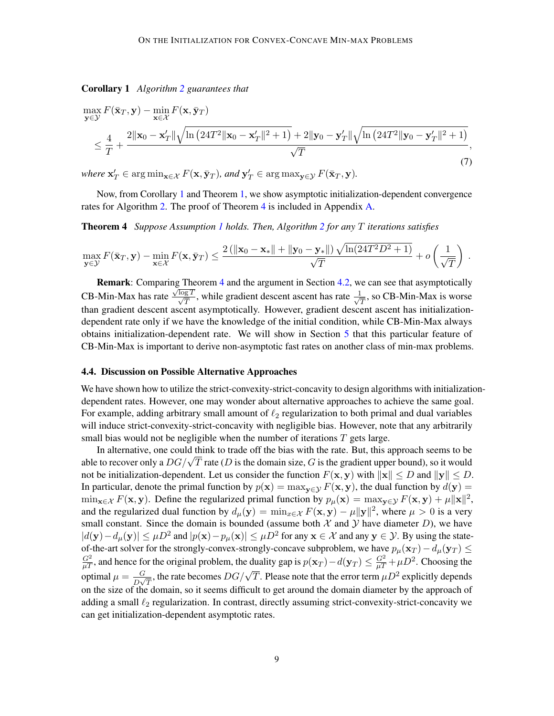Corollary 1 *Algorithm [2](#page-7-1) guarantees that*

<span id="page-8-2"></span>
$$
\max_{\mathbf{y}\in\mathcal{Y}} F(\bar{\mathbf{x}}_T, \mathbf{y}) - \min_{\mathbf{x}\in\mathcal{X}} F(\mathbf{x}, \bar{\mathbf{y}}_T)
$$
\n
$$
\leq \frac{4}{T} + \frac{2\|\mathbf{x}_0 - \mathbf{x}_T'\| \sqrt{\ln\left(24T^2\|\mathbf{x}_0 - \mathbf{x}_T'\|^2 + 1\right)} + 2\|\mathbf{y}_0 - \mathbf{y}_T'\| \sqrt{\ln\left(24T^2\|\mathbf{y}_0 - \mathbf{y}_T'\|^2 + 1\right)}}{\sqrt{T}},
$$
\n(7)

 $where \mathbf{x}'_T \in \arg\min_{\mathbf{x}\in\mathcal{X}} F(\mathbf{x}, \bar{\mathbf{y}}_T), and \mathbf{y}'_T \in \arg\max_{\mathbf{y}\in\mathcal{Y}} F(\bar{\mathbf{x}}_T, \mathbf{y}).$ 

<span id="page-8-1"></span>Now, from Corollary [1](#page-7-2) and Theorem [1,](#page-3-1) we show asymptotic initialization-dependent convergence rates for Algorithm [2.](#page-7-1) The proof of Theorem [4](#page-8-1) is included in Appendix [A.](#page-17-0)

Theorem 4 *Suppose Assumption [1](#page-3-2) holds. Then, Algorithm [2](#page-7-1) for any* T *iterations satisfies*

$$
\max_{\mathbf{y}\in\mathcal{Y}} F(\bar{\mathbf{x}}_T, \mathbf{y}) - \min_{\mathbf{x}\in\mathcal{X}} F(\mathbf{x}, \bar{\mathbf{y}}_T) \le \frac{2\left(\|\mathbf{x}_0 - \mathbf{x}_*\| + \|\mathbf{y}_0 - \mathbf{y}_*\| \right) \sqrt{\ln(24T^2D^2 + 1)}}{\sqrt{T}} + o\left(\frac{1}{\sqrt{T}}\right).
$$

Remark: Comparing Theorem [4](#page-8-1) and the argument in Section [4.2,](#page-5-0) we can see that asymptotically CB-Min-Max has rate  $\frac{\sqrt{\log T}}{\sqrt{T}}$ , while gradient descent ascent has rate  $\frac{1}{\sqrt{T}}$  $\frac{1}{T}$ , so CB-Min-Max is worse than gradient descent ascent asymptotically. However, gradient descent ascent has initializationdependent rate only if we have the knowledge of the initial condition, while CB-Min-Max always obtains initialization-dependent rate. We will show in Section [5](#page-9-0) that this particular feature of CB-Min-Max is important to derive non-asymptotic fast rates on another class of min-max problems.

## <span id="page-8-0"></span>4.4. Discussion on Possible Alternative Approaches

We have shown how to utilize the strict-convexity-strict-concavity to design algorithms with initializationdependent rates. However, one may wonder about alternative approaches to achieve the same goal. For example, adding arbitrary small amount of  $\ell_2$  regularization to both primal and dual variables will induce strict-convexity-strict-concavity with negligible bias. However, note that any arbitrarily small bias would not be negligible when the number of iterations  $T$  gets large.

In alternative, one could think to trade off the bias with the rate. But, this approach seems to be In alternative, one could think to trade off the blas with the rate. But, this approach seems to be able to recover only a  $DG/\sqrt{T}$  rate (D is the domain size, G is the gradient upper bound), so it would not be initialization-dependent. Let us consider the function  $F(\mathbf{x}, \mathbf{y})$  with  $\|\mathbf{x}\| \leq D$  and  $\|\mathbf{y}\| \leq D$ . In particular, denote the primal function by  $p(x) = \max_{y \in \mathcal{Y}} F(x, y)$ , the dual function by  $d(y) =$  $\min_{\mathbf{x}\in\mathcal{X}} F(\mathbf{x}, \mathbf{y})$ . Define the regularized primal function by  $p_{\mu}(\mathbf{x}) = \max_{\mathbf{y}\in\mathcal{Y}} F(\mathbf{x}, \mathbf{y}) + \mu \|\mathbf{x}\|^2$ , and the regularized dual function by  $d_{\mu}(\mathbf{y}) = \min_{x \in \mathcal{X}} F(\mathbf{x}, \mathbf{y}) - \mu ||\mathbf{y}||^2$ , where  $\mu > 0$  is a very small constant. Since the domain is bounded (assume both  $\mathcal X$  and  $\mathcal Y$  have diameter  $D$ ), we have  $|d(\mathbf{y}) - d_{\mu}(\mathbf{y})| \le \mu D^2$  and  $|p(\mathbf{x}) - p_{\mu}(\mathbf{x})| \le \mu D^2$  for any  $\mathbf{x} \in \mathcal{X}$  and any  $\mathbf{y} \in \mathcal{Y}$ . By using the stateof-the-art solver for the strongly-convex-strongly-concave subproblem, we have  $p_\mu(\mathbf{x}_T) - d_\mu(\mathbf{y}_T) \leq$  $\frac{G^2}{\mu T}$ , and hence for the original problem, the duality gap is  $p(\mathbf{x}_T) - d(\mathbf{y}_T) \leq \frac{G^2}{\mu T} + \mu D^2$ . Choosing the optimal  $\mu = \frac{G}{D}$  $\frac{G}{D\sqrt{T}}$ , the rate becomes  $DG/\sqrt{T}$ . Please note that the error term  $\mu D^2$  explicitly depends on the size of the domain, so it seems difficult to get around the domain diameter by the approach of adding a small  $\ell_2$  regularization. In contrast, directly assuming strict-convexity-strict-concavity we can get initialization-dependent asymptotic rates.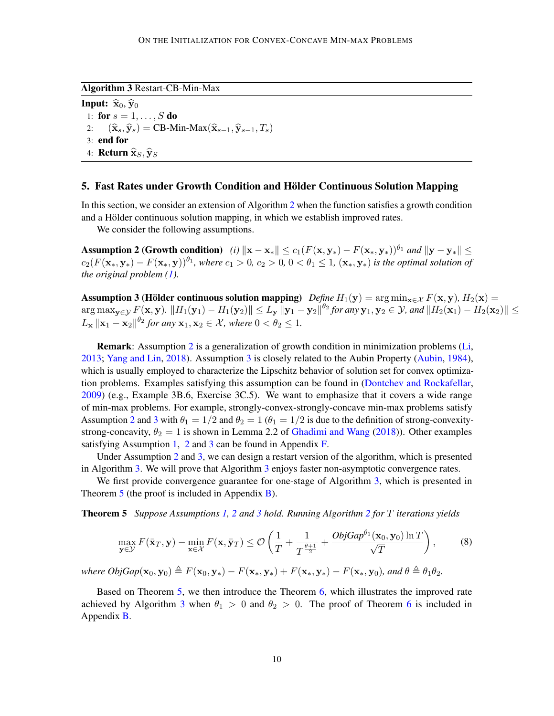<span id="page-9-3"></span>Algorithm 3 Restart-CB-Min-Max

**Input:**  $\hat{\mathbf{x}}_0$ ,  $\hat{\mathbf{y}}_0$ 1: for  $s = 1, ..., S$  do 2:  $(\widehat{\mathbf{x}}_s, \widehat{\mathbf{y}}_s) = \text{CB-Min-Max}(\widehat{\mathbf{x}}_{s-1}, \widehat{\mathbf{y}}_{s-1}, T_s)$ 3: end for 4: **Return**  $\widehat{\mathbf{x}}_S, \widehat{\mathbf{y}}_S$ 

## <span id="page-9-0"></span>5. Fast Rates under Growth Condition and Hölder Continuous Solution Mapping

In this section, we consider an extension of Algorithm [2](#page-7-1) when the function satisfies a growth condition and a Hölder continuous solution mapping, in which we establish improved rates.

<span id="page-9-1"></span>We consider the following assumptions.

Assumption 2 (Growth condition) *(i)*  $\|\mathbf{x} - \mathbf{x}_*\| \le c_1(F(\mathbf{x}, \mathbf{y}_*) - F(\mathbf{x}_*, \mathbf{y}_*))^{\theta_1}$  *and*  $\|\mathbf{y} - \mathbf{y}_*\|$  <  $c_2(F(\mathbf{x}_*,\mathbf{y}_*)-F(\mathbf{x}_*,\mathbf{y}))^{\theta_1}$ , where  $c_1>0$ ,  $c_2>0$ ,  $0<\theta_1\leq 1$ ,  $(\mathbf{x}_*,\mathbf{y}_*)$  is the optimal solution of *the original problem [\(1\)](#page-0-2).*

<span id="page-9-2"></span>Assumption 3 (Hölder continuous solution mapping) *Define*  $H_1(\mathbf{y}) = \arg \min_{\mathbf{x} \in \mathcal{X}} F(\mathbf{x}, \mathbf{y}), H_2(\mathbf{x}) =$  $\arg\max_{\mathbf{y}\in\mathcal{Y}}F(\mathbf{x},\mathbf{y})$ .  $\|H_1(\mathbf{y}_1)-H_1(\mathbf{y}_2)\|\leq L_\mathbf{y}\|\mathbf{y}_1-\mathbf{y}_2\|^{\theta_2}$  for any  $\mathbf{y}_1,\mathbf{y}_2\in\mathcal{Y}$ , and  $\|H_2(\mathbf{x}_1)-H_2(\mathbf{x}_2)\|\leq L_\mathbf{y}$  $L_{\mathbf{x}} ||\mathbf{x}_1 - \mathbf{x}_2||^{\theta_2}$  for any  $\mathbf{x}_1, \mathbf{x}_2 \in \mathcal{X}$ , where  $0 < \theta_2 \le 1$ .

Remark: Assumption [2](#page-9-1) is a generalization of growth condition in minimization problems [\(Li,](#page-14-13) [2013;](#page-14-13) [Yang and Lin,](#page-15-14) [2018\)](#page-15-14). Assumption [3](#page-9-2) is closely related to the Aubin Property [\(Aubin,](#page-12-13) [1984\)](#page-12-13), which is usually employed to characterize the Lipschitz behavior of solution set for convex optimization problems. Examples satisfying this assumption can be found in [\(Dontchev and Rockafellar,](#page-13-11) [2009\)](#page-13-11) (e.g., Example 3B.6, Exercise 3C.5). We want to emphasize that it covers a wide range of min-max problems. For example, strongly-convex-strongly-concave min-max problems satisfy Assumption [2](#page-9-1) and [3](#page-9-2) with  $\theta_1 = 1/2$  and  $\theta_2 = 1$  ( $\theta_1 = 1/2$  is due to the definition of strong-convexitystrong-concavity,  $\theta_2 = 1$  is shown in Lemma 2.2 of [Ghadimi and Wang](#page-13-12) [\(2018\)](#page-13-12)). Other examples satisfying Assumption [1,](#page-3-2) [2](#page-9-1) and [3](#page-9-2) can be found in Appendix  $\overline{F}$ .

Under Assumption [2](#page-9-1) and [3,](#page-9-2) we can design a restart version of the algorithm, which is presented in Algorithm [3.](#page-9-3) We will prove that Algorithm [3](#page-9-3) enjoys faster non-asymptotic convergence rates.

We first provide convergence guarantee for one-stage of Algorithm [3,](#page-9-3) which is presented in Theorem [5](#page-9-4) (the proof is included in Appendix [B\)](#page-18-0).

Theorem 5 *Suppose Assumptions [1,](#page-3-2) [2](#page-9-1) and [3](#page-9-2) hold. Running Algorithm [2](#page-7-1) for* T *iterations yields*

<span id="page-9-4"></span>
$$
\max_{\mathbf{y}\in\mathcal{Y}} F(\bar{\mathbf{x}}_T, \mathbf{y}) - \min_{\mathbf{x}\in\mathcal{X}} F(\mathbf{x}, \bar{\mathbf{y}}_T) \leq \mathcal{O}\left(\frac{1}{T} + \frac{1}{T^{\frac{\theta+1}{2}}} + \frac{ObjGap^{\theta_1}(\mathbf{x}_0, \mathbf{y}_0) \ln T}{\sqrt{T}}\right),\tag{8}
$$

*where*  $ObjGap(\mathbf{x}_0, \mathbf{y}_0) \triangleq F(\mathbf{x}_0, \mathbf{y}_*) - F(\mathbf{x}_*, \mathbf{y}_*) + F(\mathbf{x}_*, \mathbf{y}_*) - F(\mathbf{x}_*, \mathbf{y}_0)$ *<i>, and*  $\theta \triangleq \theta_1 \theta_2$ *.* 

<span id="page-9-5"></span>Based on Theorem [5,](#page-9-4) we then introduce the Theorem  $6$ , which illustrates the improved rate achieved by Algorithm [3](#page-9-3) when  $\theta_1 > 0$  and  $\theta_2 > 0$ . The proof of Theorem [6](#page-9-5) is included in Appendix [B.](#page-18-0)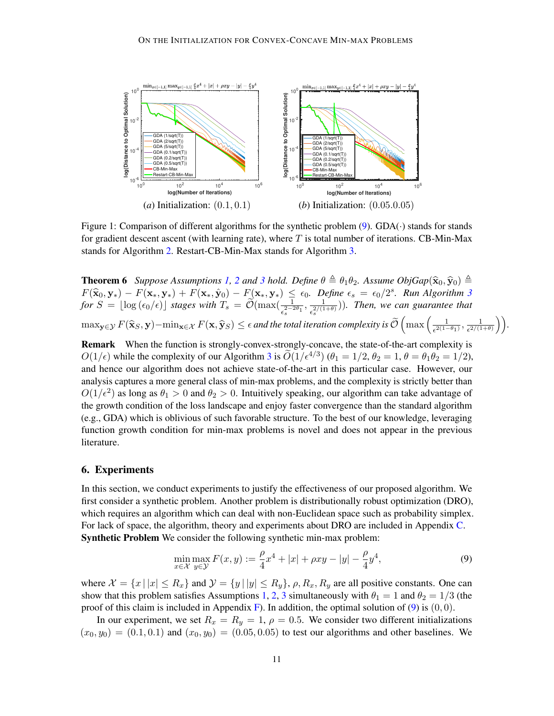<span id="page-10-1"></span>

Figure 1: Comparison of different algorithms for the synthetic problem  $(9)$ . GDA $(\cdot)$  stands for stands for gradient descent ascent (with learning rate), where  $T$  is total number of iterations. CB-Min-Max stands for Algorithm [2.](#page-7-1) Restart-CB-Min-Max stands for Algorithm [3.](#page-9-3)

**Theorem 6** *Suppose Assumptions* [1,](#page-3-2) [2](#page-9-1) *and* [3](#page-9-2) *hold.* Define  $\theta \triangleq \theta_1 \theta_2$ . Assume ObjGap( $\hat{\mathbf{x}}_0$ ,  $\hat{\mathbf{y}}_0$ )  $\triangleq$  $F(\hat{\mathbf{x}}_0, \mathbf{y}_*) - F(\mathbf{x}_*, \mathbf{y}_*) + F(\mathbf{x}_*, \hat{\mathbf{y}}_0) - F(\mathbf{x}_*, \mathbf{y}_*) \leq \epsilon_0$ . Define  $\epsilon_s = \epsilon_0/2^s$ . Run Algorithm [3](#page-9-3)<br>for  $S = \frac{1}{2} \epsilon_0 (\epsilon_0 / \epsilon)$ , stages with  $T = \widetilde{Q}(\text{max}) \left( \frac{1}{\epsilon_0 / \epsilon_0} \right)$ . Then, we can quarantee t  $f \circ f = \lfloor \log(\epsilon_0/\epsilon) \rfloor$  stages with  $T_s = \widetilde{\mathcal{O}}(\max(\frac{1}{\epsilon_s^{2-2\theta_1}}, \frac{1}{\epsilon_s^{2/(1-\theta_1)}}))$  $\frac{1}{\epsilon_s^{2/(1+\theta)}})$ ). Then, we can guarantee that  $\max_{\mathbf{y}\in\mathcal{Y}}F(\widehat{\mathbf{x}}_S,\mathbf{y})-\min_{\mathbf{x}\in\mathcal{X}}F(\mathbf{x},\widehat{\mathbf{y}}_S)\leq \epsilon$  and the total iteration complexity is  $\widetilde{\mathcal{O}}\left(\max\left(\frac{1}{\epsilon^{2(1-\epsilon)}}\right)\right)$  $\frac{1}{\epsilon^{2(1-\theta_1)}}, \frac{1}{\epsilon^{2/(1-\theta_1)}}$  $\frac{1}{\epsilon^{2/(1+\theta)}}\bigg)\bigg).$ 

Remark When the function is strongly-convex-strongly-concave, the state-of-the-art complexity is  $O(1/\epsilon)$  while the complexity of our Algorithm [3](#page-9-3) is  $\widetilde{O}(1/\epsilon^{4/3})$  ( $\theta_1 = 1/2$ ,  $\theta_2 = 1$ ,  $\theta = \theta_1 \theta_2 = 1/2$ ), and hence our algorithm does not achieve state-of-the-art in this particular case. However, our analysis captures a more general class of min-max problems, and the complexity is strictly better than  $O(1/\epsilon^2)$  as long as  $\theta_1 > 0$  and  $\theta_2 > 0$ . Intuitively speaking, our algorithm can take advantage of the growth condition of the loss landscape and enjoy faster convergence than the standard algorithm (e.g., GDA) which is oblivious of such favorable structure. To the best of our knowledge, leveraging function growth condition for min-max problems is novel and does not appear in the previous literature.

## 6. Experiments

In this section, we conduct experiments to justify the effectiveness of our proposed algorithm. We first consider a synthetic problem. Another problem is distributionally robust optimization (DRO), which requires an algorithm which can deal with non-Euclidean space such as probability simplex. For lack of space, the algorithm, theory and experiments about DRO are included in Appendix [C.](#page-19-0) Synthetic Problem We consider the following synthetic min-max problem:

<span id="page-10-0"></span>
$$
\min_{x \in \mathcal{X}} \max_{y \in \mathcal{Y}} F(x, y) := \frac{\rho}{4} x^4 + |x| + \rho x y - |y| - \frac{\rho}{4} y^4,\tag{9}
$$

where  $\mathcal{X} = \{x \mid |x| \le R_x\}$  and  $\mathcal{Y} = \{y \mid |y| \le R_y\}$ ,  $\rho$ ,  $R_x$ ,  $R_y$  are all positive constants. One can show that this problem satisfies Assumptions [1,](#page-3-2) [2,](#page-9-1) [3](#page-9-2) simultaneously with  $\theta_1 = 1$  and  $\theta_2 = 1/3$  (the proof of this claim is included in Appendix [F\)](#page-23-0). In addition, the optimal solution of [\(9\)](#page-10-0) is  $(0, 0)$ .

In our experiment, we set  $R_x = R_y = 1$ ,  $\rho = 0.5$ . We consider two different initializations  $(x_0, y_0) = (0.1, 0.1)$  and  $(x_0, y_0) = (0.05, 0.05)$  to test our algorithms and other baselines. We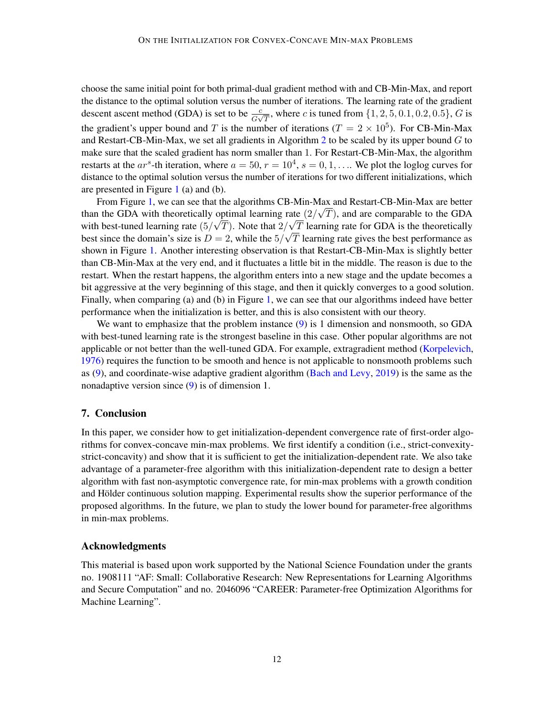choose the same initial point for both primal-dual gradient method with and CB-Min-Max, and report the distance to the optimal solution versus the number of iterations. The learning rate of the gradient descent ascent method (GDA) is set to be  $\frac{c}{G\sqrt{T}}$ , where c is tuned from  $\{1, 2, 5, 0.1, 0.2, 0.5\}$ , G is the gradient's upper bound and T is the number of iterations ( $T = 2 \times 10^5$ ). For CB-Min-Max and Restart-CB-Min-Max, we set all gradients in Algorithm [2](#page-7-1) to be scaled by its upper bound  $G$  to make sure that the scaled gradient has norm smaller than 1. For Restart-CB-Min-Max, the algorithm restarts at the ar<sup>s</sup>-th iteration, where  $a = 50$ ,  $r = 10^4$ ,  $s = 0, 1, \ldots$ . We plot the loglog curves for distance to the optimal solution versus the number of iterations for two different initializations, which are presented in Figure [1](#page-10-1) (a) and (b).

From Figure [1,](#page-10-1) we can see that the algorithms CB-Min-Max and Restart-CB-Min-Max are better than the GDA with theoretically optimal learning rate  $(2/\sqrt{T})$ , and are comparable to the GDA with best-tuned learning rate  $(5/\sqrt{T})$ . Note that  $2/\sqrt{T}$  learning rate for GDA is the theoretically best since the domain's size is  $D = 2$ , while the  $5/\sqrt{T}$  learning rate gives the best performance as shown in Figure [1.](#page-10-1) Another interesting observation is that Restart-CB-Min-Max is slightly better than CB-Min-Max at the very end, and it fluctuates a little bit in the middle. The reason is due to the restart. When the restart happens, the algorithm enters into a new stage and the update becomes a bit aggressive at the very beginning of this stage, and then it quickly converges to a good solution. Finally, when comparing (a) and (b) in Figure [1,](#page-10-1) we can see that our algorithms indeed have better performance when the initialization is better, and this is also consistent with our theory.

We want to emphasize that the problem instance [\(9\)](#page-10-0) is 1 dimension and nonsmooth, so GDA with best-tuned learning rate is the strongest baseline in this case. Other popular algorithms are not applicable or not better than the well-tuned GDA. For example, extragradient method [\(Korpelevich,](#page-14-2) [1976\)](#page-14-2) requires the function to be smooth and hence is not applicable to nonsmooth problems such as [\(9\)](#page-10-0), and coordinate-wise adaptive gradient algorithm [\(Bach and Levy,](#page-12-2) [2019\)](#page-12-2) is the same as the nonadaptive version since [\(9\)](#page-10-0) is of dimension 1.

## 7. Conclusion

In this paper, we consider how to get initialization-dependent convergence rate of first-order algorithms for convex-concave min-max problems. We first identify a condition (i.e., strict-convexitystrict-concavity) and show that it is sufficient to get the initialization-dependent rate. We also take advantage of a parameter-free algorithm with this initialization-dependent rate to design a better algorithm with fast non-asymptotic convergence rate, for min-max problems with a growth condition and Hölder continuous solution mapping. Experimental results show the superior performance of the proposed algorithms. In the future, we plan to study the lower bound for parameter-free algorithms in min-max problems.

#### Acknowledgments

This material is based upon work supported by the National Science Foundation under the grants no. 1908111 "AF: Small: Collaborative Research: New Representations for Learning Algorithms and Secure Computation" and no. 2046096 "CAREER: Parameter-free Optimization Algorithms for Machine Learning".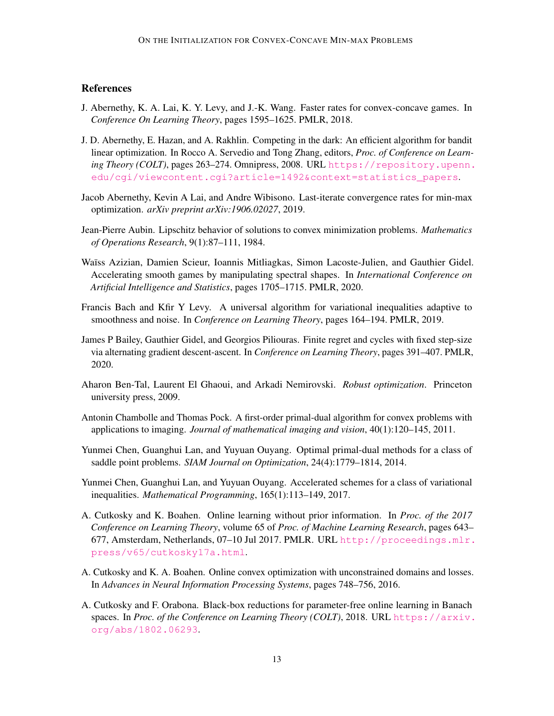# **References**

- <span id="page-12-12"></span>J. Abernethy, K. A. Lai, K. Y. Levy, and J.-K. Wang. Faster rates for convex-concave games. In *Conference On Learning Theory*, pages 1595–1625. PMLR, 2018.
- <span id="page-12-9"></span>J. D. Abernethy, E. Hazan, and A. Rakhlin. Competing in the dark: An efficient algorithm for bandit linear optimization. In Rocco A. Servedio and Tong Zhang, editors, *Proc. of Conference on Learning Theory (COLT)*, pages 263–274. Omnipress, 2008. URL [https://repository.upenn.](https://repository.upenn.edu/cgi/viewcontent.cgi?article=1492&context=statistics_papers) [edu/cgi/viewcontent.cgi?article=1492&context=statistics\\_papers](https://repository.upenn.edu/cgi/viewcontent.cgi?article=1492&context=statistics_papers).
- <span id="page-12-7"></span>Jacob Abernethy, Kevin A Lai, and Andre Wibisono. Last-iterate convergence rates for min-max optimization. *arXiv preprint arXiv:1906.02027*, 2019.
- <span id="page-12-13"></span>Jean-Pierre Aubin. Lipschitz behavior of solutions to convex minimization problems. *Mathematics of Operations Research*, 9(1):87–111, 1984.
- <span id="page-12-5"></span>Waïss Azizian, Damien Scieur, Ioannis Mitliagkas, Simon Lacoste-Julien, and Gauthier Gidel. Accelerating smooth games by manipulating spectral shapes. In *International Conference on Artificial Intelligence and Statistics*, pages 1705–1715. PMLR, 2020.
- <span id="page-12-2"></span>Francis Bach and Kfir Y Levy. A universal algorithm for variational inequalities adaptive to smoothness and noise. In *Conference on Learning Theory*, pages 164–194. PMLR, 2019.
- <span id="page-12-6"></span>James P Bailey, Gauthier Gidel, and Georgios Piliouras. Finite regret and cycles with fixed step-size via alternating gradient descent-ascent. In *Conference on Learning Theory*, pages 391–407. PMLR, 2020.
- <span id="page-12-0"></span>Aharon Ben-Tal, Laurent El Ghaoui, and Arkadi Nemirovski. *Robust optimization*. Princeton university press, 2009.
- <span id="page-12-8"></span>Antonin Chambolle and Thomas Pock. A first-order primal-dual algorithm for convex problems with applications to imaging. *Journal of mathematical imaging and vision*, 40(1):120–145, 2011.
- <span id="page-12-3"></span>Yunmei Chen, Guanghui Lan, and Yuyuan Ouyang. Optimal primal-dual methods for a class of saddle point problems. *SIAM Journal on Optimization*, 24(4):1779–1814, 2014.
- <span id="page-12-4"></span>Yunmei Chen, Guanghui Lan, and Yuyuan Ouyang. Accelerated schemes for a class of variational inequalities. *Mathematical Programming*, 165(1):113–149, 2017.
- <span id="page-12-11"></span>A. Cutkosky and K. Boahen. Online learning without prior information. In *Proc. of the 2017 Conference on Learning Theory*, volume 65 of *Proc. of Machine Learning Research*, pages 643– 677, Amsterdam, Netherlands, 07–10 Jul 2017. PMLR. URL [http://proceedings.mlr.](http://proceedings.mlr.press/v65/cutkosky17a.html) [press/v65/cutkosky17a.html](http://proceedings.mlr.press/v65/cutkosky17a.html).
- <span id="page-12-10"></span>A. Cutkosky and K. A. Boahen. Online convex optimization with unconstrained domains and losses. In *Advances in Neural Information Processing Systems*, pages 748–756, 2016.
- <span id="page-12-1"></span>A. Cutkosky and F. Orabona. Black-box reductions for parameter-free online learning in Banach spaces. In *Proc. of the Conference on Learning Theory (COLT)*, 2018. URL [https://arxiv.](https://arxiv.org/abs/1802.06293) [org/abs/1802.06293](https://arxiv.org/abs/1802.06293).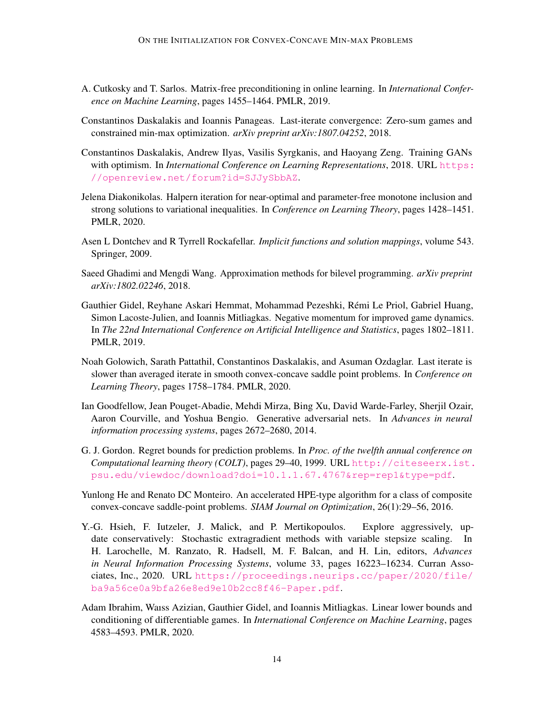- <span id="page-13-10"></span>A. Cutkosky and T. Sarlos. Matrix-free preconditioning in online learning. In *International Conference on Machine Learning*, pages 1455–1464. PMLR, 2019.
- <span id="page-13-5"></span>Constantinos Daskalakis and Ioannis Panageas. Last-iterate convergence: Zero-sum games and constrained min-max optimization. *arXiv preprint arXiv:1807.04252*, 2018.
- <span id="page-13-3"></span>Constantinos Daskalakis, Andrew Ilyas, Vasilis Syrgkanis, and Haoyang Zeng. Training GANs with optimism. In *International Conference on Learning Representations*, 2018. URL [https:](https://openreview.net/forum?id=SJJySbbAZ) [//openreview.net/forum?id=SJJySbbAZ](https://openreview.net/forum?id=SJJySbbAZ).
- <span id="page-13-7"></span>Jelena Diakonikolas. Halpern iteration for near-optimal and parameter-free monotone inclusion and strong solutions to variational inequalities. In *Conference on Learning Theory*, pages 1428–1451. PMLR, 2020.
- <span id="page-13-11"></span>Asen L Dontchev and R Tyrrell Rockafellar. *Implicit functions and solution mappings*, volume 543. Springer, 2009.
- <span id="page-13-12"></span>Saeed Ghadimi and Mengdi Wang. Approximation methods for bilevel programming. *arXiv preprint arXiv:1802.02246*, 2018.
- <span id="page-13-4"></span>Gauthier Gidel, Reyhane Askari Hemmat, Mohammad Pezeshki, Rémi Le Priol, Gabriel Huang, Simon Lacoste-Julien, and Ioannis Mitliagkas. Negative momentum for improved game dynamics. In *The 22nd International Conference on Artificial Intelligence and Statistics*, pages 1802–1811. PMLR, 2019.
- <span id="page-13-6"></span>Noah Golowich, Sarath Pattathil, Constantinos Daskalakis, and Asuman Ozdaglar. Last iterate is slower than averaged iterate in smooth convex-concave saddle point problems. In *Conference on Learning Theory*, pages 1758–1784. PMLR, 2020.
- <span id="page-13-0"></span>Ian Goodfellow, Jean Pouget-Abadie, Mehdi Mirza, Bing Xu, David Warde-Farley, Sherjil Ozair, Aaron Courville, and Yoshua Bengio. Generative adversarial nets. In *Advances in neural information processing systems*, pages 2672–2680, 2014.
- <span id="page-13-9"></span>G. J. Gordon. Regret bounds for prediction problems. In *Proc. of the twelfth annual conference on Computational learning theory (COLT)*, pages 29–40, 1999. URL [http://citeseerx.ist.](http://citeseerx.ist.psu.edu/viewdoc/download?doi=10.1.1.67.4767&rep=rep1&type=pdf) [psu.edu/viewdoc/download?doi=10.1.1.67.4767&rep=rep1&type=pdf](http://citeseerx.ist.psu.edu/viewdoc/download?doi=10.1.1.67.4767&rep=rep1&type=pdf).
- <span id="page-13-2"></span>Yunlong He and Renato DC Monteiro. An accelerated HPE-type algorithm for a class of composite convex-concave saddle-point problems. *SIAM Journal on Optimization*, 26(1):29–56, 2016.
- <span id="page-13-1"></span>Y.-G. Hsieh, F. Iutzeler, J. Malick, and P. Mertikopoulos. Explore aggressively, update conservatively: Stochastic extragradient methods with variable stepsize scaling. In H. Larochelle, M. Ranzato, R. Hadsell, M. F. Balcan, and H. Lin, editors, *Advances in Neural Information Processing Systems*, volume 33, pages 16223–16234. Curran Associates, Inc., 2020. URL [https://proceedings.neurips.cc/paper/2020/file/](https://proceedings.neurips.cc/paper/2020/file/ba9a56ce0a9bfa26e8ed9e10b2cc8f46-Paper.pdf) [ba9a56ce0a9bfa26e8ed9e10b2cc8f46-Paper.pdf](https://proceedings.neurips.cc/paper/2020/file/ba9a56ce0a9bfa26e8ed9e10b2cc8f46-Paper.pdf).
- <span id="page-13-8"></span>Adam Ibrahim, Waıss Azizian, Gauthier Gidel, and Ioannis Mitliagkas. Linear lower bounds and conditioning of differentiable games. In *International Conference on Machine Learning*, pages 4583–4593. PMLR, 2020.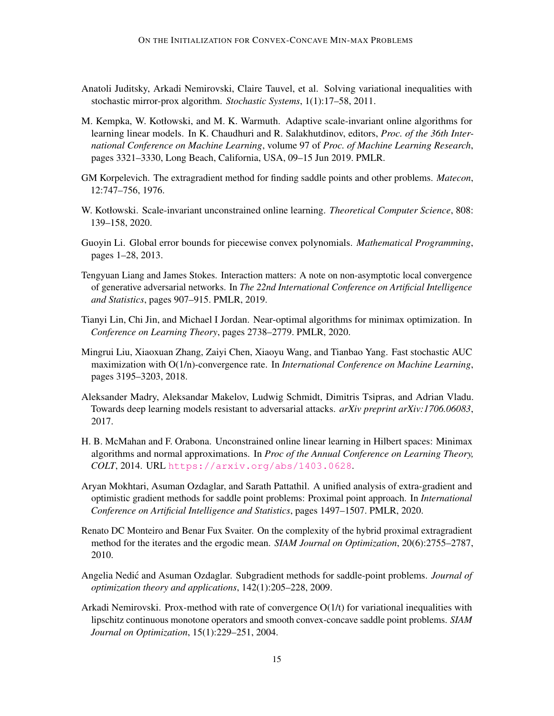- <span id="page-14-1"></span>Anatoli Juditsky, Arkadi Nemirovski, Claire Tauvel, et al. Solving variational inequalities with stochastic mirror-prox algorithm. *Stochastic Systems*, 1(1):17–58, 2011.
- <span id="page-14-11"></span>M. Kempka, W. Kotłowski, and M. K. Warmuth. Adaptive scale-invariant online algorithms for learning linear models. In K. Chaudhuri and R. Salakhutdinov, editors, *Proc. of the 36th International Conference on Machine Learning*, volume 97 of *Proc. of Machine Learning Research*, pages 3321–3330, Long Beach, California, USA, 09–15 Jun 2019. PMLR.
- <span id="page-14-2"></span>GM Korpelevich. The extragradient method for finding saddle points and other problems. *Matecon*, 12:747–756, 1976.
- <span id="page-14-10"></span>W. Kotłowski. Scale-invariant unconstrained online learning. *Theoretical Computer Science*, 808: 139–158, 2020.
- <span id="page-14-13"></span>Guoyin Li. Global error bounds for piecewise convex polynomials. *Mathematical Programming*, pages 1–28, 2013.
- <span id="page-14-7"></span>Tengyuan Liang and James Stokes. Interaction matters: A note on non-asymptotic local convergence of generative adversarial networks. In *The 22nd International Conference on Artificial Intelligence and Statistics*, pages 907–915. PMLR, 2019.
- <span id="page-14-9"></span>Tianyi Lin, Chi Jin, and Michael I Jordan. Near-optimal algorithms for minimax optimization. In *Conference on Learning Theory*, pages 2738–2779. PMLR, 2020.
- <span id="page-14-6"></span>Mingrui Liu, Xiaoxuan Zhang, Zaiyi Chen, Xiaoyu Wang, and Tianbao Yang. Fast stochastic AUC maximization with O(1/n)-convergence rate. In *International Conference on Machine Learning*, pages 3195–3203, 2018.
- <span id="page-14-0"></span>Aleksander Madry, Aleksandar Makelov, Ludwig Schmidt, Dimitris Tsipras, and Adrian Vladu. Towards deep learning models resistant to adversarial attacks. *arXiv preprint arXiv:1706.06083*, 2017.
- <span id="page-14-12"></span>H. B. McMahan and F. Orabona. Unconstrained online linear learning in Hilbert spaces: Minimax algorithms and normal approximations. In *Proc of the Annual Conference on Learning Theory, COLT*, 2014. URL <https://arxiv.org/abs/1403.0628>.
- <span id="page-14-8"></span>Aryan Mokhtari, Asuman Ozdaglar, and Sarath Pattathil. A unified analysis of extra-gradient and optimistic gradient methods for saddle point problems: Proximal point approach. In *International Conference on Artificial Intelligence and Statistics*, pages 1497–1507. PMLR, 2020.
- <span id="page-14-5"></span>Renato DC Monteiro and Benar Fux Svaiter. On the complexity of the hybrid proximal extragradient method for the iterates and the ergodic mean. *SIAM Journal on Optimization*, 20(6):2755–2787, 2010.
- <span id="page-14-4"></span>Angelia Nedić and Asuman Ozdaglar. Subgradient methods for saddle-point problems. *Journal of optimization theory and applications*, 142(1):205–228, 2009.
- <span id="page-14-3"></span>Arkadi Nemirovski. Prox-method with rate of convergence  $O(1/t)$  for variational inequalities with lipschitz continuous monotone operators and smooth convex-concave saddle point problems. *SIAM Journal on Optimization*, 15(1):229–251, 2004.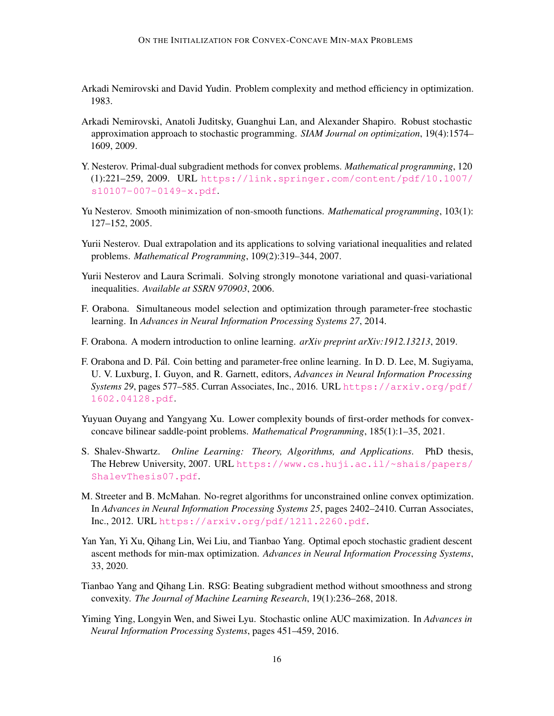- <span id="page-15-1"></span>Arkadi Nemirovski and David Yudin. Problem complexity and method efficiency in optimization. 1983.
- <span id="page-15-2"></span>Arkadi Nemirovski, Anatoli Juditsky, Guanghui Lan, and Alexander Shapiro. Robust stochastic approximation approach to stochastic programming. *SIAM Journal on optimization*, 19(4):1574– 1609, 2009.
- <span id="page-15-13"></span>Y. Nesterov. Primal-dual subgradient methods for convex problems. *Mathematical programming*, 120 (1):221–259, 2009. URL [https://link.springer.com/content/pdf/10.1007/](https://link.springer.com/content/pdf/10.1007/s10107-007-0149-x.pdf) [s10107-007-0149-x.pdf](https://link.springer.com/content/pdf/10.1007/s10107-007-0149-x.pdf).
- <span id="page-15-5"></span>Yu Nesterov. Smooth minimization of non-smooth functions. *Mathematical programming*, 103(1): 127–152, 2005.
- <span id="page-15-4"></span>Yurii Nesterov. Dual extrapolation and its applications to solving variational inequalities and related problems. *Mathematical Programming*, 109(2):319–344, 2007.
- <span id="page-15-6"></span>Yurii Nesterov and Laura Scrimali. Solving strongly monotone variational and quasi-variational inequalities. *Available at SSRN 970903*, 2006.
- <span id="page-15-12"></span>F. Orabona. Simultaneous model selection and optimization through parameter-free stochastic learning. In *Advances in Neural Information Processing Systems 27*, 2014.
- <span id="page-15-9"></span>F. Orabona. A modern introduction to online learning. *arXiv preprint arXiv:1912.13213*, 2019.
- <span id="page-15-3"></span>F. Orabona and D. Pál. Coin betting and parameter-free online learning. In D. D. Lee, M. Sugiyama, U. V. Luxburg, I. Guyon, and R. Garnett, editors, *Advances in Neural Information Processing Systems 29*, pages 577–585. Curran Associates, Inc., 2016. URL [https://arxiv.org/pdf/](https://arxiv.org/pdf/1602.04128.pdf) [1602.04128.pdf](https://arxiv.org/pdf/1602.04128.pdf).
- <span id="page-15-8"></span>Yuyuan Ouyang and Yangyang Xu. Lower complexity bounds of first-order methods for convexconcave bilinear saddle-point problems. *Mathematical Programming*, 185(1):1–35, 2021.
- <span id="page-15-11"></span>S. Shalev-Shwartz. *Online Learning: Theory, Algorithms, and Applications*. PhD thesis, The Hebrew University, 2007. URL [https://www.cs.huji.ac.il/~shais/papers/](https://www.cs.huji.ac.il/~shais/papers/ShalevThesis07.pdf) [ShalevThesis07.pdf](https://www.cs.huji.ac.il/~shais/papers/ShalevThesis07.pdf).
- <span id="page-15-10"></span>M. Streeter and B. McMahan. No-regret algorithms for unconstrained online convex optimization. In *Advances in Neural Information Processing Systems 25*, pages 2402–2410. Curran Associates, Inc., 2012. URL <https://arxiv.org/pdf/1211.2260.pdf>.
- <span id="page-15-7"></span>Yan Yan, Yi Xu, Qihang Lin, Wei Liu, and Tianbao Yang. Optimal epoch stochastic gradient descent ascent methods for min-max optimization. *Advances in Neural Information Processing Systems*, 33, 2020.
- <span id="page-15-14"></span>Tianbao Yang and Qihang Lin. RSG: Beating subgradient method without smoothness and strong convexity. *The Journal of Machine Learning Research*, 19(1):236–268, 2018.
- <span id="page-15-0"></span>Yiming Ying, Longyin Wen, and Siwei Lyu. Stochastic online AUC maximization. In *Advances in Neural Information Processing Systems*, pages 451–459, 2016.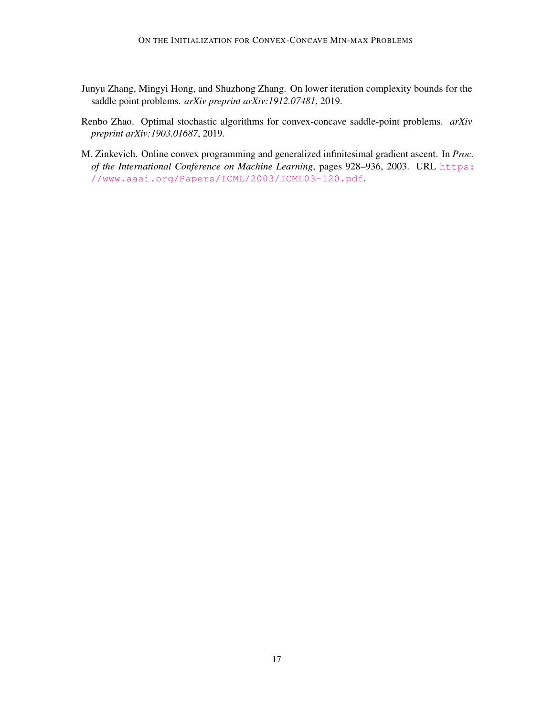- <span id="page-16-1"></span>Junyu Zhang, Mingyi Hong, and Shuzhong Zhang. On lower iteration complexity bounds for the saddle point problems. *arXiv preprint arXiv:1912.07481*, 2019.
- <span id="page-16-0"></span>Renbo Zhao. Optimal stochastic algorithms for convex-concave saddle-point problems. *arXiv preprint arXiv:1903.01687*, 2019.
- <span id="page-16-2"></span>M. Zinkevich. Online convex programming and generalized infinitesimal gradient ascent. In *Proc. of the International Conference on Machine Learning*, pages 928–936, 2003. URL [https:](https://www.aaai.org/Papers/ICML/2003/ICML03-120.pdf) [//www.aaai.org/Papers/ICML/2003/ICML03-120.pdf](https://www.aaai.org/Papers/ICML/2003/ICML03-120.pdf).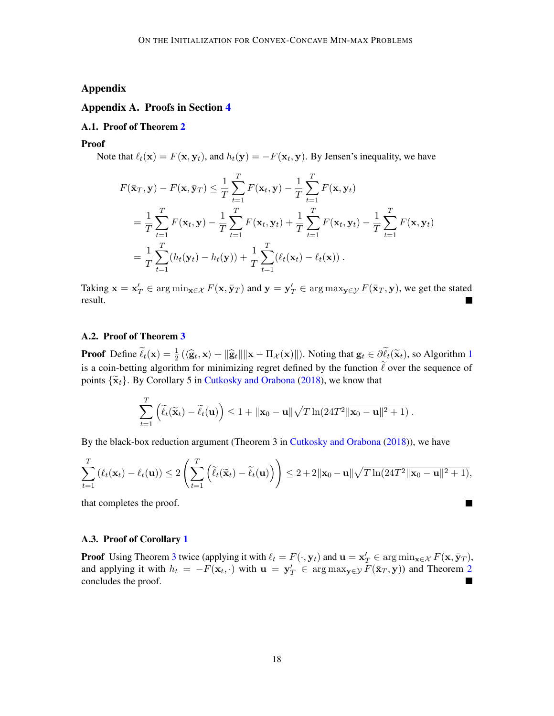# Appendix

## <span id="page-17-0"></span>Appendix A. Proofs in Section [4](#page-3-3)

## A.1. Proof of Theorem [2](#page-6-2)

Proof

Note that  $\ell_t(\mathbf{x}) = F(\mathbf{x}, \mathbf{y}_t)$ , and  $h_t(\mathbf{y}) = -F(\mathbf{x}_t, \mathbf{y})$ . By Jensen's inequality, we have

$$
F(\bar{\mathbf{x}}_T, \mathbf{y}) - F(\mathbf{x}, \bar{\mathbf{y}}_T) \leq \frac{1}{T} \sum_{t=1}^T F(\mathbf{x}_t, \mathbf{y}) - \frac{1}{T} \sum_{t=1}^T F(\mathbf{x}, \mathbf{y}_t)
$$
  
=  $\frac{1}{T} \sum_{t=1}^T F(\mathbf{x}_t, \mathbf{y}) - \frac{1}{T} \sum_{t=1}^T F(\mathbf{x}_t, \mathbf{y}_t) + \frac{1}{T} \sum_{t=1}^T F(\mathbf{x}_t, \mathbf{y}_t) - \frac{1}{T} \sum_{t=1}^T F(\mathbf{x}, \mathbf{y}_t)$   
=  $\frac{1}{T} \sum_{t=1}^T (h_t(\mathbf{y}_t) - h_t(\mathbf{y})) + \frac{1}{T} \sum_{t=1}^T (\ell_t(\mathbf{x}_t) - \ell_t(\mathbf{x})).$ 

Taking  $\mathbf{x} = \mathbf{x}'_T \in \arg\min_{\mathbf{x} \in \mathcal{X}} F(\mathbf{x}, \bar{\mathbf{y}}_T)$  and  $\mathbf{y} = \mathbf{y}'_T \in \arg\max_{\mathbf{y} \in \mathcal{Y}} F(\bar{\mathbf{x}}_T, \mathbf{y})$ , we get the stated result.

#### A.2. Proof of Theorem [3](#page-6-1)

**Proof** Define  $\tilde{\ell}_t(\mathbf{x}) = \frac{1}{2} (\langle \hat{\mathbf{g}}_t, \mathbf{x} \rangle + ||\hat{\mathbf{g}}_t|| ||\mathbf{x} - \Pi_{\mathcal{X}}(\mathbf{x})||)$  $\tilde{\ell}_t(\mathbf{x}) = \frac{1}{2} (\langle \hat{\mathbf{g}}_t, \mathbf{x} \rangle + ||\hat{\mathbf{g}}_t|| ||\mathbf{x} - \Pi_{\mathcal{X}}(\mathbf{x})||)$  $\tilde{\ell}_t(\mathbf{x}) = \frac{1}{2} (\langle \hat{\mathbf{g}}_t, \mathbf{x} \rangle + ||\hat{\mathbf{g}}_t|| ||\mathbf{x} - \Pi_{\mathcal{X}}(\mathbf{x})||)$ . Noting that  $\mathbf{g}_t \in \partial \tilde{\ell}_t(\tilde{\mathbf{x}}_t)$ , so Algorithm 1 is a coin-betting algorithm for minimizing regret defined by the function  $\tilde{\ell}$  over the sequence of points  $\{\tilde{\mathbf{x}}_t\}$ . By Corollary 5 in [Cutkosky and Orabona](#page-12-1) [\(2018\)](#page-12-1), we know that

$$
\sum_{t=1}^T \left( \widetilde{\ell}_t(\widetilde{\mathbf{x}}_t) - \widetilde{\ell}_t(\mathbf{u}) \right) \le 1 + \|\mathbf{x}_0 - \mathbf{u}\| \sqrt{T \ln(24T^2 \|\mathbf{x}_0 - \mathbf{u}\|^2 + 1)}.
$$

By the black-box reduction argument (Theorem 3 in [Cutkosky and Orabona](#page-12-1) [\(2018\)](#page-12-1)), we have

$$
\sum_{t=1}^T \left(\ell_t(\mathbf{x}_t) - \ell_t(\mathbf{u})\right) \le 2\left(\sum_{t=1}^T \left(\widetilde{\ell}_t(\widetilde{\mathbf{x}}_t) - \widetilde{\ell}_t(\mathbf{u})\right)\right) \le 2 + 2\|\mathbf{x}_0 - \mathbf{u}\| \sqrt{T \ln(24T^2 \|\mathbf{x}_0 - \mathbf{u}\|^2 + 1)},
$$

**In the Second** 

that completes the proof.

#### A.3. Proof of Corollary [1](#page-7-2)

**Proof** Using Theorem [3](#page-6-1) twice (applying it with  $\ell_t = F(\cdot, \mathbf{y}_t)$  and  $\mathbf{u} = \mathbf{x}_T' \in \arg\min_{\mathbf{x} \in \mathcal{X}} F(\mathbf{x}, \bar{\mathbf{y}}_T)$ , and applying it with  $h_t = -F(\mathbf{x}_t, \cdot)$  with  $\mathbf{u} = \mathbf{y}_T' \in \arg \max_{\mathbf{y} \in \mathcal{Y}} F(\bar{\mathbf{x}}_T, \mathbf{y})$  and Theorem [2](#page-6-2) concludes the proof. ш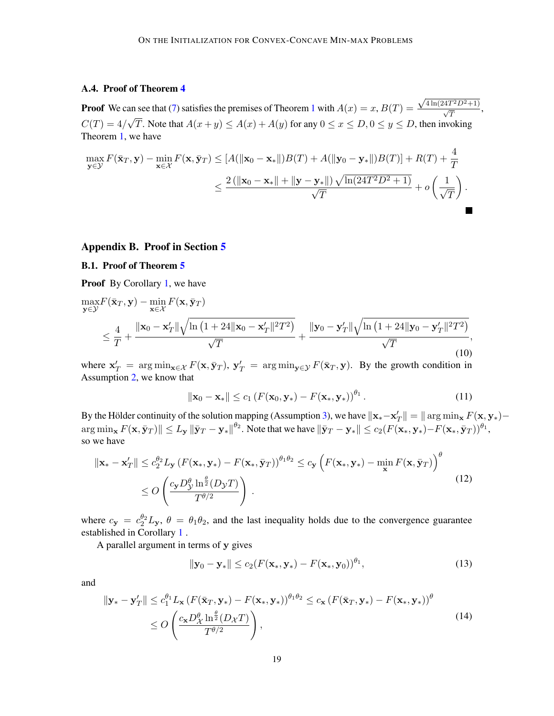# A.4. Proof of Theorem [4](#page-8-1)

**Proof** We can see that [\(7\)](#page-8-2) satisfies the premises of Theorem [1](#page-3-1) with  $A(x) = x, B(T) = x$ an see that (7) satisfies the premises of Theorem 1 with  $A(x) = x$ ,  $B(T) = \frac{\sqrt{4 \ln(24T^2D^2+1)}}{\sqrt{T}}$ ,  $C(T) = 4/\sqrt{T}$ . Note that  $A(x+y) \le A(x) + A(y)$  for any  $0 \le x \le D, 0 \le y \le D$ , then invoking Theorem [1,](#page-3-1) we have

$$
\max_{\mathbf{y}\in\mathcal{Y}} F(\bar{\mathbf{x}}_T, \mathbf{y}) - \min_{\mathbf{x}\in\mathcal{X}} F(\mathbf{x}, \bar{\mathbf{y}}_T) \le [A(\|\mathbf{x}_0 - \mathbf{x}_*\|)B(T) + A(\|\mathbf{y}_0 - \mathbf{y}_*\|)B(T)] + R(T) + \frac{4}{T}
$$
  

$$
\le \frac{2(\|\mathbf{x}_0 - \mathbf{x}_*\| + \|\mathbf{y} - \mathbf{y}_*\|) \sqrt{\ln(24T^2D^2 + 1)}}{\sqrt{T}} + o\left(\frac{1}{\sqrt{T}}\right).
$$

#### <span id="page-18-0"></span>Appendix B. Proof in Section [5](#page-9-0)

## B.1. Proof of Theorem [5](#page-9-4)

Proof By Corollary [1,](#page-7-2) we have

<span id="page-18-3"></span>
$$
\max_{\mathbf{y}\in\mathcal{Y}} F(\bar{\mathbf{x}}_T, \mathbf{y}) - \min_{\mathbf{x}\in\mathcal{X}} F(\mathbf{x}, \bar{\mathbf{y}}_T)
$$
\n
$$
\leq \frac{4}{T} + \frac{\|\mathbf{x}_0 - \mathbf{x}_T'\| \sqrt{\ln\left(1 + 24\|\mathbf{x}_0 - \mathbf{x}_T'\|^2 T^2\right)}}{\sqrt{T}} + \frac{\|\mathbf{y}_0 - \mathbf{y}_T'\| \sqrt{\ln\left(1 + 24\|\mathbf{y}_0 - \mathbf{y}_T'\|^2 T^2\right)}}{\sqrt{T}},
$$
\n(10)

where  $x'_T = arg min_{x \in \mathcal{X}} F(x, \bar{y}_T), y'_T = arg min_{y \in \mathcal{Y}} F(\bar{x}_T, y)$ . By the growth condition in Assumption [2,](#page-9-1) we know that

<span id="page-18-1"></span>
$$
\|\mathbf{x}_0 - \mathbf{x}_*\| \le c_1 \left( F(\mathbf{x}_0, \mathbf{y}_*) - F(\mathbf{x}_*, \mathbf{y}_*) \right)^{\theta_1}.
$$
 (11)

By the Hölder continuity of the solution mapping (Assumption [3\)](#page-9-2), we have  $\|\mathbf{x}_{*}-\mathbf{x}'_{T}\| = \|\arg\min_{\mathbf{x}} F(\mathbf{x},\mathbf{y}_{*}) -$ T  $\arg \min_\mathbf{x} F(\mathbf{x}, \bar{\mathbf{y}}_T) \|\leq L_\mathbf{y}\|\bar{\mathbf{y}}_T-\mathbf{y}_*\|^{\theta_2}.$  Note that we have  $\|\bar{\mathbf{y}}_T-\mathbf{y}_*\| \leq c_2 (F(\mathbf{x}_*,\mathbf{y}_*)-F(\mathbf{x}_*,\bar{\mathbf{y}}_T))^{\theta_1},$ so we have

<span id="page-18-2"></span>
$$
\|\mathbf{x}_{*} - \mathbf{x}'_{T}\| \leq c_{2}^{\theta_{2}} L_{\mathbf{y}} \left(F(\mathbf{x}_{*}, \mathbf{y}_{*}) - F(\mathbf{x}_{*}, \bar{\mathbf{y}}_{T})\right)^{\theta_{1}\theta_{2}} \leq c_{\mathbf{y}} \left(F(\mathbf{x}_{*}, \mathbf{y}_{*}) - \min_{\mathbf{x}} F(\mathbf{x}, \bar{\mathbf{y}}_{T})\right)^{\theta} \leq O\left(\frac{c_{\mathbf{y}} D_{\mathcal{Y}}^{\theta} \ln^{\frac{\theta}{2}}(D_{\mathcal{Y}} T)}{T^{\theta/2}}\right).
$$
\n(12)

where  $c_y = c_2^{\theta_2} L_y$ ,  $\theta = \theta_1 \theta_2$ , and the last inequality holds due to the convergence guarantee established in Corollary [1](#page-7-2) .

A parallel argument in terms of y gives

$$
\|\mathbf{y}_0 - \mathbf{y}_*\| \le c_2 (F(\mathbf{x}_*, \mathbf{y}_*) - F(\mathbf{x}_*, \mathbf{y}_0))^{\theta_1},\tag{13}
$$

and

$$
\|\mathbf{y}_{*} - \mathbf{y}_{T}'\| \leq c_{1}^{\theta_{1}} L_{\mathbf{x}} \left(F(\bar{\mathbf{x}}_{T}, \mathbf{y}_{*}) - F(\mathbf{x}_{*}, \mathbf{y}_{*})\right)^{\theta_{1}\theta_{2}} \leq c_{\mathbf{x}} \left(F(\bar{\mathbf{x}}_{T}, \mathbf{y}_{*}) - F(\mathbf{x}_{*}, \mathbf{y}_{*})\right)^{\theta} \leq O\left(\frac{c_{\mathbf{x}} D_{\mathcal{X}}^{\theta} \ln^{\frac{\theta}{2}}(D_{\mathcal{X}} T)}{T^{\theta/2}}\right),
$$
\n(14)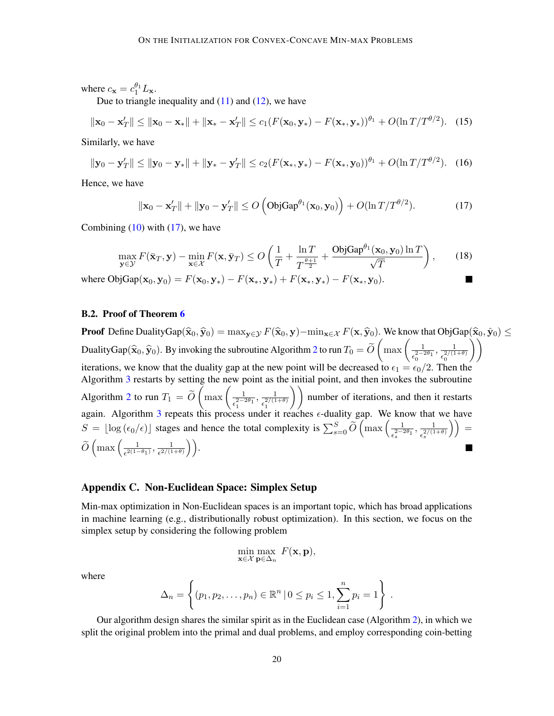where  $c_{\mathbf{x}} = c_1^{\theta_1} L_{\mathbf{x}}$ .

Due to triangle inequality and  $(11)$  and  $(12)$ , we have

$$
\|\mathbf{x}_0 - \mathbf{x}_T'\| \le \|\mathbf{x}_0 - \mathbf{x}_*\| + \|\mathbf{x}_* - \mathbf{x}_T'\| \le c_1 (F(\mathbf{x}_0, \mathbf{y}_*) - F(\mathbf{x}_*, \mathbf{y}_*))^{\theta_1} + O(\ln T/T^{\theta/2}).
$$
 (15)

Similarly, we have

$$
\|\mathbf{y}_0 - \mathbf{y}_T'\| \le \|\mathbf{y}_0 - \mathbf{y}_*\| + \|\mathbf{y}_* - \mathbf{y}_T'\| \le c_2 (F(\mathbf{x}_*, \mathbf{y}_*) - F(\mathbf{x}_*, \mathbf{y}_0))^{\theta_1} + O(\ln T/T^{\theta/2}). \tag{16}
$$

Hence, we have

<span id="page-19-1"></span>
$$
\|\mathbf{x}_0 - \mathbf{x}_T'\| + \|\mathbf{y}_0 - \mathbf{y}_T'\| \le O\left(\text{ObjGap}^{\theta_1}(\mathbf{x}_0, \mathbf{y}_0)\right) + O(\ln T/T^{\theta/2}).\tag{17}
$$

Combining  $(10)$  with  $(17)$ , we have

$$
\max_{\mathbf{y}\in\mathcal{Y}} F(\bar{\mathbf{x}}_T, \mathbf{y}) - \min_{\mathbf{x}\in\mathcal{X}} F(\mathbf{x}, \bar{\mathbf{y}}_T) \le O\left(\frac{1}{T} + \frac{\ln T}{T^{\frac{\theta+1}{2}}} + \frac{\text{ObjGap}^{\theta_1}(\mathbf{x}_0, \mathbf{y}_0) \ln T}{\sqrt{T}}\right),\tag{18}
$$

where  $\text{ObjGap}(\mathbf{x}_0, \mathbf{y}_0) = F(\mathbf{x}_0, \mathbf{y}_*) - F(\mathbf{x}_*, \mathbf{y}_*) + F(\mathbf{x}_*, \mathbf{y}_*) - F(\mathbf{x}_*, \mathbf{y}_0).$ 

## B.2. Proof of Theorem [6](#page-9-5)

**Proof** Define DualityGap( $\hat{\mathbf{x}}_0, \hat{\mathbf{y}}_0$ ) = max<sub>y∈</sub>y  $F(\hat{\mathbf{x}}_0, \mathbf{y})$ –min<sub>x∈X</sub>  $F(\mathbf{x}, \hat{\mathbf{y}}_0)$ . We know that ObjGap( $\hat{\mathbf{x}}_0, \hat{\mathbf{y}}_0$ ) ≤ DualityGap $(\widehat{\mathbf{x}}_0, \widehat{\mathbf{y}}_0)$ . By invoking the subroutine Algorithm [2](#page-7-1) to run  $T_0 = \widetilde{O}\left(\max\left(\frac{1}{\epsilon_0^{-2-\frac{1}{2\alpha}}}\right)\right)$  $\epsilon_0^{2-2\theta_1}$  $\frac{1}{2(1)}$  $\epsilon_0^{2/(1+\theta)}$  $\setminus$ iterations, we know that the duality gap at the new point will be decreased to  $\epsilon_1 = \epsilon_0/2$ . Then the Algorithm [3](#page-9-3) restarts by setting the new point as the initial point, and then invokes the subroutine Algorithm [2](#page-7-1) to run  $T_1 = \widetilde{O}\left(\max\left(\frac{1}{\epsilon_1^2}\right)\right)$  $\overline{\epsilon_1^{2-2\theta_1}}$  $, \frac{1}{271}$  $\left(\frac{1}{\epsilon_1^{2/(1+\theta)}}\right)$  number of iterations, and then it restarts again. Algorithm [3](#page-9-3) repeats this process under it reaches  $\epsilon$ -duality gap. We know that we have  $S = \lfloor \log(\epsilon_0/\epsilon) \rfloor$  stages and hence the total complexity is  $\sum_{s=0}^{S} \widetilde{O} \left( \max \left( \frac{1}{\epsilon_s^2} \right) \right)$  $\frac{1}{\epsilon_s^{2-2\theta_1}}, \frac{1}{\epsilon_s^{2/(1-\varepsilon_s^{2/2})}}$  $\frac{1}{\epsilon_s^{2/(1+\theta)}} \Big) \Big) =$  $\widetilde{O}\left(\max\left(\frac{1}{\epsilon^{2(1-\epsilon)}}\right)\right)$  $\frac{1}{\epsilon^{2(1-\theta_1)}}, \frac{1}{\epsilon^{2/(1-\theta_1)}}$  $\frac{1}{\epsilon^{2/(1+\theta)}}\bigg)\bigg).$ 

# <span id="page-19-0"></span>Appendix C. Non-Euclidean Space: Simplex Setup

Min-max optimization in Non-Euclidean spaces is an important topic, which has broad applications in machine learning (e.g., distributionally robust optimization). In this section, we focus on the simplex setup by considering the following problem

$$
\min_{\mathbf{x}\in\mathcal{X}}\max_{\mathbf{p}\in\Delta_n} F(\mathbf{x},\mathbf{p}),
$$

where

$$
\Delta_n = \left\{ (p_1, p_2, \dots, p_n) \in \mathbb{R}^n \, | \, 0 \le p_i \le 1, \sum_{i=1}^n p_i = 1 \right\}
$$

.

 $\blacksquare$ 

Our algorithm design shares the similar spirit as in the Euclidean case (Algorithm [2\)](#page-7-1), in which we split the original problem into the primal and dual problems, and employ corresponding coin-betting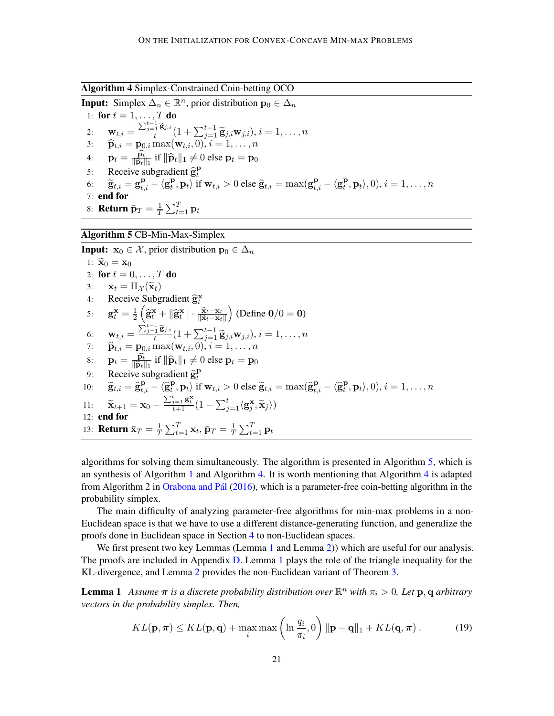<span id="page-20-1"></span>Algorithm 4 Simplex-Constrained Coin-betting OCO

**Input:** Simplex  $\Delta_n \in \mathbb{R}^n$ , prior distribution  $\mathbf{p}_0 \in \Delta_n$ 1: for  $t = 1, \ldots, T$  do 2:  $\mathbf{w}_{t,i} = \frac{\sum_{j=1}^{t-1} \tilde{\mathbf{g}}_{j,i}}{t} (1 + \sum_{j=1}^{t-1} \tilde{\mathbf{g}}_{j,i} \mathbf{w}_{j,i}), i = 1, \ldots, n$ 3:  $\widehat{\mathbf{p}}_{t,i} = \mathbf{p}_{0,i} \max(\mathbf{w}_{t,i}, 0), i = 1, \dots, n$ 4:  $\mathbf{p}_t = \frac{\widehat{\mathbf{p}_t}}{\|\widehat{\mathbf{n}}_t\|}$  $\frac{\mathbf{p}_t}{\|\widehat{\mathbf{p}}_t\|_1}$  if  $\|\widehat{\mathbf{p}}_t\|_1 \neq 0$  else  $\mathbf{p}_t = \mathbf{p}_0$ 5: Receive subgradient  $\hat{\mathbf{g}}_t^{\mathbf{p}}$ t 6:  $\widetilde{\mathbf{g}}_{t,i} = \mathbf{g}_{t,i}^{\mathbf{p}} - \langle \mathbf{g}_t^{\mathbf{p}} \rangle$  $\left\{ \mathbf{P}_t, \mathbf{p}_t \right\}$  if  $\mathbf{w}_{t,i} > 0$  else  $\widetilde{\mathbf{g}}_{t,i} = \max(\mathbf{g}_{t,i}^{\mathbf{p}} - \langle \mathbf{g}_t^{\mathbf{p}} \rangle)$  ${\bf P}_t, {\bf p}_t \rangle, 0), i = 1, \ldots, n$ 7: end for 8: **Return**  $\bar{\mathbf{p}}_T = \frac{1}{T}$  $\frac{1}{T}\sum_{t=1}^T \mathbf{p}_t$ 

## <span id="page-20-0"></span>Algorithm 5 CB-Min-Max-Simplex

**Input:**  $x_0 \in \mathcal{X}$ , prior distribution  $p_0 \in \Delta_n$ 1:  $\widetilde{\mathbf{x}}_0 = \mathbf{x}_0$ 2: for  $t = 0, ..., T$  do 3:  $\mathbf{x}_t = \Pi_{\mathcal{X}}(\tilde{\mathbf{x}}_t)$ <br>4: Receive Subg 4: Receive Subgradient  $\hat{\mathbf{g}}$ x t 5:  ${\bf g}_t^{\bf x} = \frac{1}{2}$  $\frac{1}{2}\left(\widehat{\mathbf{g}}_t^{\mathbf{x}} + \|\widehat{\mathbf{g}}_t^{\mathbf{x}}\| \cdot \frac{\widetilde{\mathbf{x}}_t - \mathbf{x}_t}{\|\widetilde{\mathbf{x}}_t - \mathbf{x}_t\|}\right)$ (Define  $0/0 = 0$ ) 6:  $\mathbf{w}_{t,i} = \frac{\sum_{j=1}^{t-1} \tilde{\mathbf{g}}_{j,i}}{t} (1 + \sum_{j=1}^{t-1} \tilde{\mathbf{g}}_{j,i} \mathbf{w}_{j,i}), i = 1, \ldots, n$ 7:  $\widehat{\mathbf{p}}_{t,i} = \mathbf{p}_{0,i} \max(\mathbf{w}_{t,i}, 0), i = 1, \dots, n$ 8:  $\mathbf{p}_t = \frac{\widehat{\mathbf{p}_t}}{\|\widehat{\mathbf{n}}_t\|}$  $\frac{\mathbf{p}_t}{\|\hat{\mathbf{p}}_t\|_1}$  if  $\|\hat{\mathbf{p}}_t\|_1 \neq 0$  else  $\mathbf{p}_t = \mathbf{p}_0$ 9: Receive subgradient  $\widehat{\mathbf{g}}_t^{\text{I}}$ <br>0:  $\widetilde{\mathbf{g}} = \widehat{\mathbf{g}}_t^{\text{I}}$   $\widehat{\mathbf{g}}_t^{\text{I}}$   $\widehat{\mathbf{g}}_t^{\text{I}}$ Receive subgradient  $\hat{\mathbf{g}}_t^{\mathbf{p}}$ 10:  $\widetilde{\mathbf{g}}_{t,i} = \widehat{\mathbf{g}}_{t,i}^{\mathbf{p}} - \langle \widehat{\mathbf{g}}_{t}^{\mathbf{p}} \rangle$  $\left\{ \mathbf{P}_t, \mathbf{p}_t \right\}$  if  $\mathbf{w}_{t,i} > 0$  else  $\widetilde{\mathbf{g}}_{t,i} = \max(\widehat{\mathbf{g}}_{t,i}^{\mathbf{p}} - \langle \widehat{\mathbf{g}}_{t}^{\mathbf{p}} \rangle)$  ${\bf P}_t, {\bf p}_t \rangle, 0), i = 1, \ldots, n$ 11:  $\widetilde{\mathbf{x}}_{t+1} = \mathbf{x}_0 - \frac{\sum_{j=1}^t \mathbf{g}_t^{\mathbf{x}}}{t+1} (1 - \sum_{j=1}^t \langle \mathbf{g}_j^{\mathbf{x}}, \widetilde{\mathbf{x}}_j \rangle)$ 12: end for 13: **Return**  $\bar{\mathbf{x}}_T = \frac{1}{T}$  $\frac{1}{T}\sum_{t=1}^T \mathbf{x}_t, \bar{\mathbf{p}}_T = \frac{1}{T}$  $\frac{1}{T} \sum_{t=1}^T \mathbf{p}_t$ 

algorithms for solving them simultaneously. The algorithm is presented in Algorithm [5,](#page-20-0) which is an synthesis of Algorithm [1](#page-7-0) and Algorithm [4.](#page-20-1) It is worth mentioning that Algorithm [4](#page-20-1) is adapted from Algorithm 2 in [Orabona and Pál](#page-15-3) [\(2016\)](#page-15-3), which is a parameter-free coin-betting algorithm in the probability simplex.

The main difficulty of analyzing parameter-free algorithms for min-max problems in a non-Euclidean space is that we have to use a different distance-generating function, and generalize the proofs done in Euclidean space in Section [4](#page-3-3) to non-Euclidean spaces.

We first present two key Lemmas (Lemma [1](#page-20-2) and Lemma [2\)](#page-20-3)) which are useful for our analysis. The proofs are included in Appendix [D.](#page-21-0) Lemma [1](#page-20-2) plays the role of the triangle inequality for the KL-divergence, and Lemma [2](#page-20-3) provides the non-Euclidean variant of Theorem [3.](#page-6-1)

<span id="page-20-2"></span>**Lemma 1** Assume  $\pi$  is a discrete probability distribution over  $\mathbb{R}^n$  with  $\pi_i > 0$ . Let  $\mathbf{p}, \mathbf{q}$  arbitrary *vectors in the probability simplex. Then,*

<span id="page-20-3"></span>
$$
KL(\mathbf{p}, \boldsymbol{\pi}) \leq KL(\mathbf{p}, \mathbf{q}) + \max_{i} \max\left(\ln \frac{q_i}{\pi_i}, 0\right) \|\mathbf{p} - \mathbf{q}\|_1 + KL(\mathbf{q}, \boldsymbol{\pi})\,. \tag{19}
$$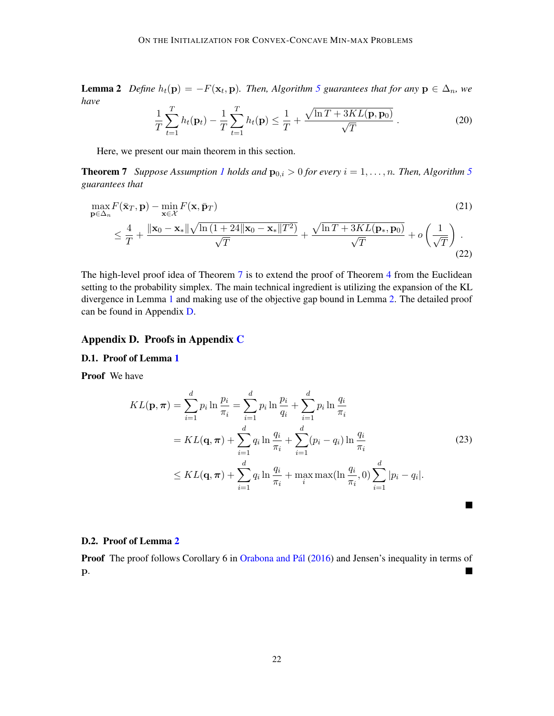**Lemma 2** Define  $h_t(\mathbf{p}) = -F(\mathbf{x}_t, \mathbf{p})$ . Then, Algorithm [5](#page-20-0) guarantees that for any  $\mathbf{p} \in \Delta_n$ , we *have*

<span id="page-21-1"></span>
$$
\frac{1}{T}\sum_{t=1}^{T}h_t(\mathbf{p}_t) - \frac{1}{T}\sum_{t=1}^{T}h_t(\mathbf{p}) \le \frac{1}{T} + \frac{\sqrt{\ln T + 3KL(\mathbf{p}, \mathbf{p}_0)}}{\sqrt{T}}.
$$
\n(20)

Here, we present our main theorem in this section.

**Theorem 7** *Suppose Assumption [1](#page-3-2) holds and*  $\mathbf{p}_{0,i} > 0$  *for every*  $i = 1, \ldots, n$ *. Then, Algorithm [5](#page-20-0) guarantees that*

$$
\max_{\mathbf{p}\in\Delta_n} F(\bar{\mathbf{x}}_T, \mathbf{p}) - \min_{\mathbf{x}\in\mathcal{X}} F(\mathbf{x}, \bar{\mathbf{p}}_T)
$$
\n
$$
\leq \frac{4}{T} + \frac{\|\mathbf{x}_0 - \mathbf{x}_*\| \sqrt{\ln\left(1 + 24\|\mathbf{x}_0 - \mathbf{x}_*\| T^2\right)}}{\sqrt{T}} + \frac{\sqrt{\ln T + 3KL(\mathbf{p}_*, \mathbf{p}_0)}}{\sqrt{T}} + o\left(\frac{1}{\sqrt{T}}\right).
$$
\n(22)

The high-level proof idea of Theorem [7](#page-21-1) is to extend the proof of Theorem [4](#page-8-1) from the Euclidean setting to the probability simplex. The main technical ingredient is utilizing the expansion of the KL divergence in Lemma [1](#page-20-2) and making use of the objective gap bound in Lemma [2.](#page-20-3) The detailed proof can be found in Appendix [D.](#page-21-0)

# <span id="page-21-0"></span>Appendix D. Proofs in Appendix [C](#page-19-0)

## D.1. Proof of Lemma [1](#page-20-2)

Proof We have

$$
KL(\mathbf{p}, \boldsymbol{\pi}) = \sum_{i=1}^{d} p_i \ln \frac{p_i}{\pi_i} = \sum_{i=1}^{d} p_i \ln \frac{p_i}{q_i} + \sum_{i=1}^{d} p_i \ln \frac{q_i}{\pi_i}
$$
  
=  $KL(\mathbf{q}, \boldsymbol{\pi}) + \sum_{i=1}^{d} q_i \ln \frac{q_i}{\pi_i} + \sum_{i=1}^{d} (p_i - q_i) \ln \frac{q_i}{\pi_i}$   
 $\leq KL(\mathbf{q}, \boldsymbol{\pi}) + \sum_{i=1}^{d} q_i \ln \frac{q_i}{\pi_i} + \max_{i} \max(\ln \frac{q_i}{\pi_i}, 0) \sum_{i=1}^{d} |p_i - q_i|.$  (23)

■

#### D.2. Proof of Lemma [2](#page-20-3)

Proof The proof follows Corollary 6 in [Orabona and Pál](#page-15-3) [\(2016\)](#page-15-3) and Jensen's inequality in terms of  $\blacksquare$ p.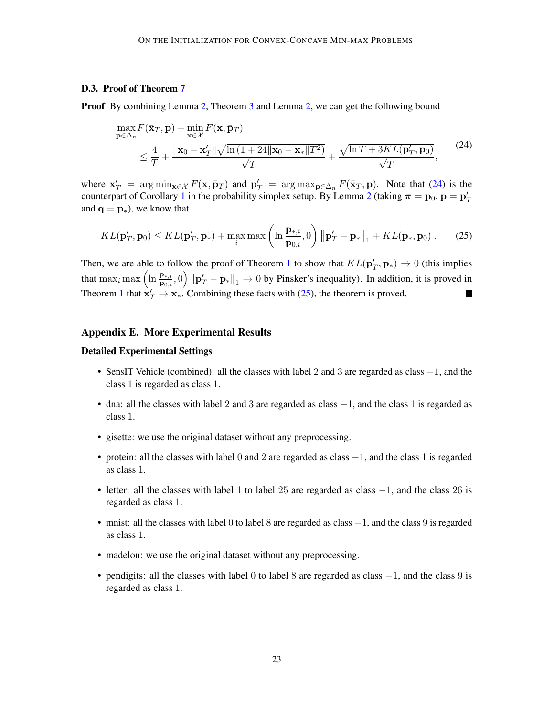## D.3. Proof of Theorem [7](#page-21-1)

**Proof** By combining Lemma [2,](#page-6-2) Theorem [3](#page-6-1) and Lemma 2, we can get the following bound

<span id="page-22-0"></span>
$$
\max_{\mathbf{p}\in\Delta_n} F(\bar{\mathbf{x}}_T, \mathbf{p}) - \min_{\mathbf{x}\in\mathcal{X}} F(\mathbf{x}, \bar{\mathbf{p}}_T)
$$
\n
$$
\leq \frac{4}{T} + \frac{\|\mathbf{x}_0 - \mathbf{x}_T'\| \sqrt{\ln\left(1 + 24\|\mathbf{x}_0 - \mathbf{x}_*\| T^2\right)}}{\sqrt{T}} + \frac{\sqrt{\ln T + 3KL(\mathbf{p}_T', \mathbf{p}_0)}}{\sqrt{T}},
$$
\n(24)

where  $x'_T = arg min_{x \in \mathcal{X}} F(x, \bar{p}_T)$  and  $p'_T = arg max_{p \in \Delta_n} F(\bar{x}_T, p)$ . Note that [\(24\)](#page-22-0) is the counterpart of Corollary [1](#page-7-2) in the probability simplex setup. By Lemma [2](#page-20-3) (taking  $\pi = \mathbf{p}_0$ ,  $\mathbf{p} = \mathbf{p}'_T$ and  $\mathbf{q} = \mathbf{p}_{*}$ ), we know that

<span id="page-22-1"></span>
$$
KL(\mathbf{p}'_T, \mathbf{p}_0) \leq KL(\mathbf{p}'_T, \mathbf{p}_*) + \max_i \max\left(\ln \frac{\mathbf{p}_{*,i}}{\mathbf{p}_{0,i}}, 0\right) \left\|\mathbf{p}'_T - \mathbf{p}_*\right\|_1 + KL(\mathbf{p}_*, \mathbf{p}_0). \tag{25}
$$

Then, we are able to follow the proof of Theorem [1](#page-3-1) to show that  $KL(\mathbf{p}'_T, \mathbf{p}_*) \to 0$  (this implies that  $\max_i \max\left(\ln \frac{\mathbf{p}_{*,i}}{\mathbf{p}_{0,i}}, 0\right) \|\mathbf{p}'_T - \mathbf{p}_*\|_1 \to 0$  by Pinsker's inequality). In addition, it is proved in Theorem [1](#page-3-1) that  $x'_T \to x_*$ . Combining these facts with [\(25\)](#page-22-1), the theorem is proved.  $\blacksquare$ 

# Appendix E. More Experimental Results

#### Detailed Experimental Settings

- SensIT Vehicle (combined): all the classes with label 2 and 3 are regarded as class −1, and the class 1 is regarded as class 1.
- dna: all the classes with label 2 and 3 are regarded as class  $-1$ , and the class 1 is regarded as class 1.
- gisette: we use the original dataset without any preprocessing.
- protein: all the classes with label 0 and 2 are regarded as class −1, and the class 1 is regarded as class 1.
- letter: all the classes with label 1 to label 25 are regarded as class −1, and the class 26 is regarded as class 1.
- mnist: all the classes with label 0 to label 8 are regarded as class −1, and the class 9 is regarded as class 1.
- madelon: we use the original dataset without any preprocessing.
- pendigits: all the classes with label 0 to label 8 are regarded as class  $-1$ , and the class 9 is regarded as class 1.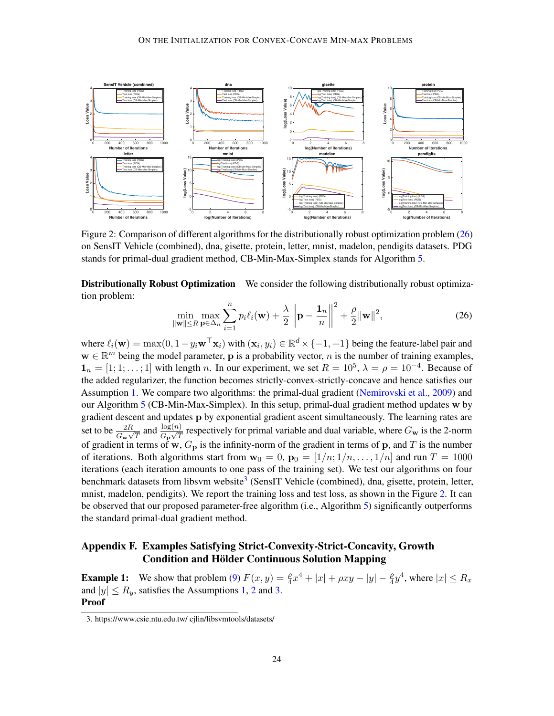<span id="page-23-3"></span>

Figure 2: Comparison of different algorithms for the distributionally robust optimization problem [\(26\)](#page-23-1) on SensIT Vehicle (combined), dna, gisette, protein, letter, mnist, madelon, pendigits datasets. PDG stands for primal-dual gradient method, CB-Min-Max-Simplex stands for Algorithm [5.](#page-20-0)

Distributionally Robust Optimization We consider the following distributionally robust optimization problem:

<span id="page-23-1"></span>
$$
\min_{\|\mathbf{w}\| \le R} \max_{\mathbf{p} \in \Delta_n} \sum_{i=1}^n p_i \ell_i(\mathbf{w}) + \frac{\lambda}{2} \left\| \mathbf{p} - \frac{\mathbf{1}_n}{n} \right\|^2 + \frac{\rho}{2} \|\mathbf{w}\|^2, \tag{26}
$$

where  $\ell_i(\mathbf{w}) = \max(0, 1 - y_i \mathbf{w}^\top \mathbf{x}_i)$  with  $(\mathbf{x}_i, y_i) \in \mathbb{R}^d \times \{-1, +1\}$  being the feature-label pair and  $\mathbf{w} \in \mathbb{R}^m$  being the model parameter, **p** is a probability vector, *n* is the number of training examples,  $\mathbf{1}_n = [1; 1; \dots; 1]$  with length n. In our experiment, we set  $R = 10^5$ ,  $\lambda = \rho = 10^{-4}$ . Because of the added regularizer, the function becomes strictly-convex-strictly-concave and hence satisfies our Assumption [1.](#page-3-2) We compare two algorithms: the primal-dual gradient [\(Nemirovski et al.,](#page-15-2) [2009\)](#page-15-2) and our Algorithm [5](#page-20-0) (CB-Min-Max-Simplex). In this setup, primal-dual gradient method updates w by gradient descent and updates p by exponential gradient ascent simultaneously. The learning rates are set to be  $\frac{2R}{G_w\sqrt{T}}$  and  $\frac{\log(n)}{G_p\sqrt{T}}$  respectively for primal variable and dual variable, where  $G_w$  is the 2-norm of gradient in terms of w,  $G_p$  is the infinity-norm of the gradient in terms of p, and T is the number of iterations. Both algorithms start from  $w_0 = 0$ ,  $p_0 = \lfloor 1/n, 1/n, \ldots, 1/n \rfloor$  and run  $T = 1000$ iterations (each iteration amounts to one pass of the training set). We test our algorithms on four benchmark datasets from libsvm website<sup>[3](#page-23-2)</sup> (SensIT Vehicle (combined), dna, gisette, protein, letter, mnist, madelon, pendigits). We report the training loss and test loss, as shown in the Figure [2.](#page-23-3) It can be observed that our proposed parameter-free algorithm (i.e., Algorithm [5\)](#page-20-0) significantly outperforms the standard primal-dual gradient method.

# <span id="page-23-0"></span>Appendix F. Examples Satisfying Strict-Convexity-Strict-Concavity, Growth Condition and Hölder Continuous Solution Mapping

**Example 1:** We show that problem [\(9\)](#page-10-0)  $F(x, y) = \frac{\rho}{4}x^4 + |x| + \rho xy - |y| - \frac{\rho}{4}y^4$ , where  $|x| \le R_x$ and  $|y| \le R_y$ , satisfies the Assumptions [1,](#page-3-2) [2](#page-9-1) and [3.](#page-9-2) Proof

<span id="page-23-2"></span><sup>3.</sup> https://www.csie.ntu.edu.tw/ cjlin/libsvmtools/datasets/